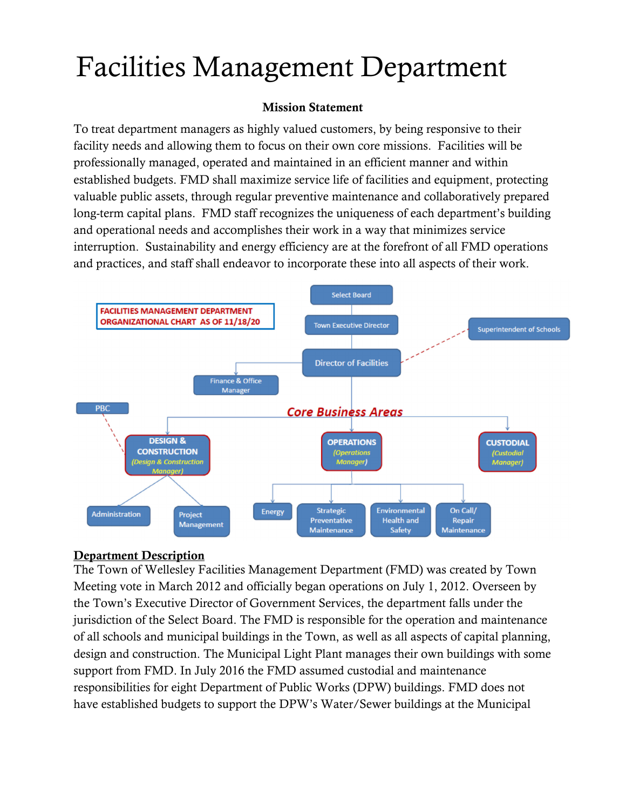# Facilities Management Department

### Mission Statement

To treat department managers as highly valued customers, by being responsive to their facility needs and allowing them to focus on their own core missions. Facilities will be professionally managed, operated and maintained in an efficient manner and within established budgets. FMD shall maximize service life of facilities and equipment, protecting valuable public assets, through regular preventive maintenance and collaboratively prepared long-term capital plans. FMD staff recognizes the uniqueness of each department's building and operational needs and accomplishes their work in a way that minimizes service interruption. Sustainability and energy efficiency are at the forefront of all FMD operations and practices, and staff shall endeavor to incorporate these into all aspects of their work.



#### Department Description

The Town of Wellesley Facilities Management Department (FMD) was created by Town Meeting vote in March 2012 and officially began operations on July 1, 2012. Overseen by the Town's Executive Director of Government Services, the department falls under the jurisdiction of the Select Board. The FMD is responsible for the operation and maintenance of all schools and municipal buildings in the Town, as well as all aspects of capital planning, design and construction. The Municipal Light Plant manages their own buildings with some support from FMD. In July 2016 the FMD assumed custodial and maintenance responsibilities for eight Department of Public Works (DPW) buildings. FMD does not have established budgets to support the DPW's Water/Sewer buildings at the Municipal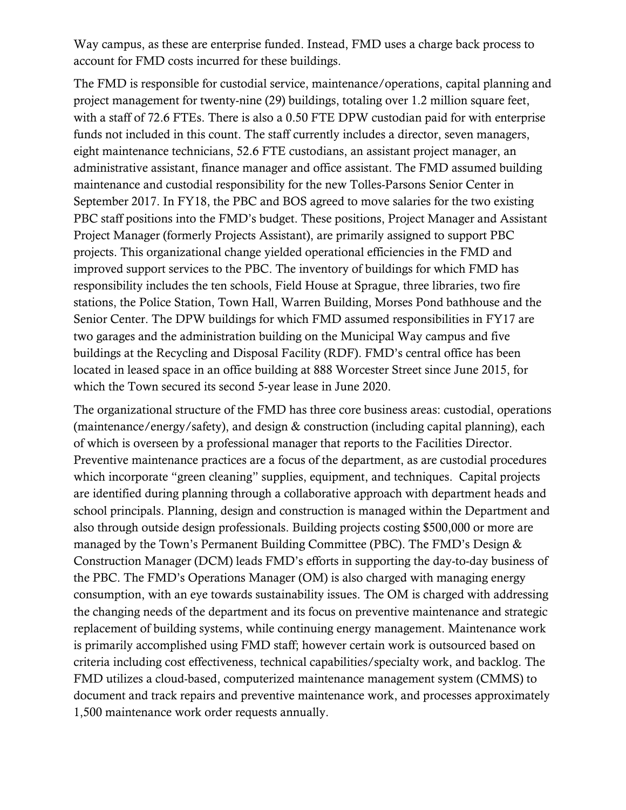Way campus, as these are enterprise funded. Instead, FMD uses a charge back process to account for FMD costs incurred for these buildings.

The FMD is responsible for custodial service, maintenance/operations, capital planning and project management for twenty-nine (29) buildings, totaling over 1.2 million square feet, with a staff of 72.6 FTEs. There is also a 0.50 FTE DPW custodian paid for with enterprise funds not included in this count. The staff currently includes a director, seven managers, eight maintenance technicians, 52.6 FTE custodians, an assistant project manager, an administrative assistant, finance manager and office assistant. The FMD assumed building maintenance and custodial responsibility for the new Tolles-Parsons Senior Center in September 2017. In FY18, the PBC and BOS agreed to move salaries for the two existing PBC staff positions into the FMD's budget. These positions, Project Manager and Assistant Project Manager (formerly Projects Assistant), are primarily assigned to support PBC projects. This organizational change yielded operational efficiencies in the FMD and improved support services to the PBC. The inventory of buildings for which FMD has responsibility includes the ten schools, Field House at Sprague, three libraries, two fire stations, the Police Station, Town Hall, Warren Building, Morses Pond bathhouse and the Senior Center. The DPW buildings for which FMD assumed responsibilities in FY17 are two garages and the administration building on the Municipal Way campus and five buildings at the Recycling and Disposal Facility (RDF). FMD's central office has been located in leased space in an office building at 888 Worcester Street since June 2015, for which the Town secured its second 5-year lease in June 2020.

The organizational structure of the FMD has three core business areas: custodial, operations (maintenance/energy/safety), and design & construction (including capital planning), each of which is overseen by a professional manager that reports to the Facilities Director. Preventive maintenance practices are a focus of the department, as are custodial procedures which incorporate "green cleaning" supplies, equipment, and techniques. Capital projects are identified during planning through a collaborative approach with department heads and school principals. Planning, design and construction is managed within the Department and also through outside design professionals. Building projects costing \$500,000 or more are managed by the Town's Permanent Building Committee (PBC). The FMD's Design & Construction Manager (DCM) leads FMD's efforts in supporting the day-to-day business of the PBC. The FMD's Operations Manager (OM) is also charged with managing energy consumption, with an eye towards sustainability issues. The OM is charged with addressing the changing needs of the department and its focus on preventive maintenance and strategic replacement of building systems, while continuing energy management. Maintenance work is primarily accomplished using FMD staff; however certain work is outsourced based on criteria including cost effectiveness, technical capabilities/specialty work, and backlog. The FMD utilizes a cloud-based, computerized maintenance management system (CMMS) to document and track repairs and preventive maintenance work, and processes approximately 1,500 maintenance work order requests annually.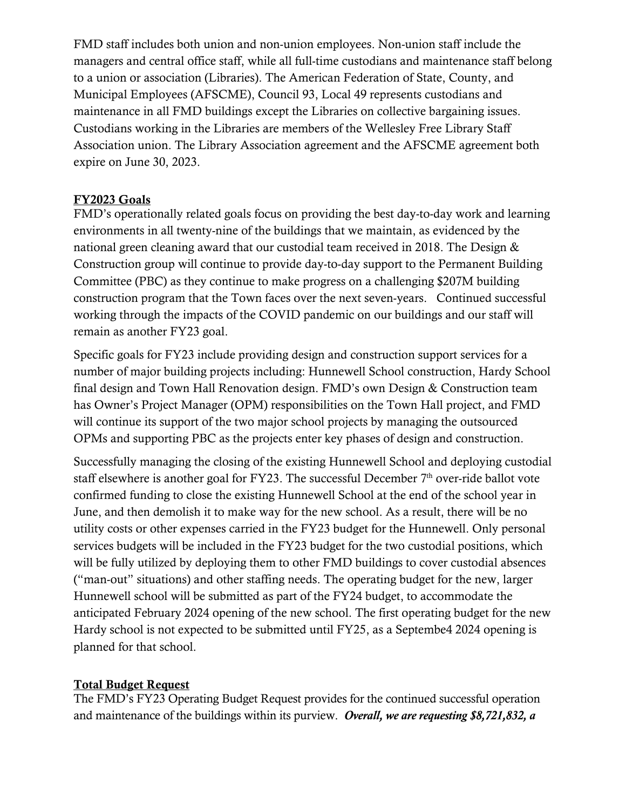FMD staff includes both union and non-union employees. Non-union staff include the managers and central office staff, while all full-time custodians and maintenance staff belong to a union or association (Libraries). The American Federation of State, County, and Municipal Employees (AFSCME), Council 93, Local 49 represents custodians and maintenance in all FMD buildings except the Libraries on collective bargaining issues. Custodians working in the Libraries are members of the Wellesley Free Library Staff Association union. The Library Association agreement and the AFSCME agreement both expire on June 30, 2023.

# FY2023 Goals

FMD's operationally related goals focus on providing the best day-to-day work and learning environments in all twenty-nine of the buildings that we maintain, as evidenced by the national green cleaning award that our custodial team received in 2018. The Design & Construction group will continue to provide day-to-day support to the Permanent Building Committee (PBC) as they continue to make progress on a challenging \$207M building construction program that the Town faces over the next seven-years. Continued successful working through the impacts of the COVID pandemic on our buildings and our staff will remain as another FY23 goal.

Specific goals for FY23 include providing design and construction support services for a number of major building projects including: Hunnewell School construction, Hardy School final design and Town Hall Renovation design. FMD's own Design & Construction team has Owner's Project Manager (OPM) responsibilities on the Town Hall project, and FMD will continue its support of the two major school projects by managing the outsourced OPMs and supporting PBC as the projects enter key phases of design and construction.

Successfully managing the closing of the existing Hunnewell School and deploying custodial staff elsewhere is another goal for FY23. The successful December  $7<sup>th</sup>$  over-ride ballot vote confirmed funding to close the existing Hunnewell School at the end of the school year in June, and then demolish it to make way for the new school. As a result, there will be no utility costs or other expenses carried in the FY23 budget for the Hunnewell. Only personal services budgets will be included in the FY23 budget for the two custodial positions, which will be fully utilized by deploying them to other FMD buildings to cover custodial absences ("man-out" situations) and other staffing needs. The operating budget for the new, larger Hunnewell school will be submitted as part of the FY24 budget, to accommodate the anticipated February 2024 opening of the new school. The first operating budget for the new Hardy school is not expected to be submitted until FY25, as a Septembe4 2024 opening is planned for that school.

#### Total Budget Request

The FMD's FY23 Operating Budget Request provides for the continued successful operation and maintenance of the buildings within its purview. *Overall, we are requesting \$8,721,832, a*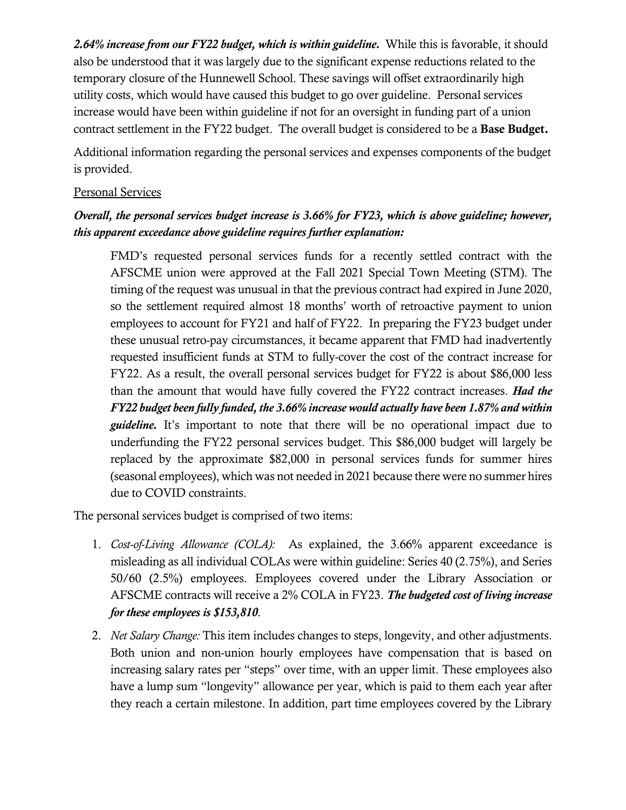*2.64% increase from our FY22 budget, which is within guideline.* While this is favorable, it should also be understood that it was largely due to the significant expense reductions related to the temporary closure of the Hunnewell School. These savings will offset extraordinarily high utility costs, which would have caused this budget to go over guideline. Personal services increase would have been within guideline if not for an oversight in funding part of a union contract settlement in the FY22 budget. The overall budget is considered to be a Base Budget.

Additional information regarding the personal services and expenses components of the budget is provided.

#### Personal Services

# *Overall, the personal services budget increase is 3.66% for FY23, which is above guideline; however, this apparent exceedance above guideline requires further explanation:*

FMD's requested personal services funds for a recently settled contract with the AFSCME union were approved at the Fall 2021 Special Town Meeting (STM). The timing of the request was unusual in that the previous contract had expired in June 2020, so the settlement required almost 18 months' worth of retroactive payment to union employees to account for FY21 and half of FY22. In preparing the FY23 budget under these unusual retro-pay circumstances, it became apparent that FMD had inadvertently requested insufficient funds at STM to fully-cover the cost of the contract increase for FY22. As a result, the overall personal services budget for FY22 is about \$86,000 less than the amount that would have fully covered the FY22 contract increases. *Had the FY22 budget been fully funded, the 3.66% increase would actually have been 1.87% and within guideline.* It's important to note that there will be no operational impact due to underfunding the FY22 personal services budget. This \$86,000 budget will largely be replaced by the approximate \$82,000 in personal services funds for summer hires (seasonal employees), which was not needed in 2021 because there were no summer hires due to COVID constraints.

The personal services budget is comprised of two items:

- 1. *Cost-of-Living Allowance (COLA):* As explained, the 3.66% apparent exceedance is misleading as all individual COLAs were within guideline: Series 40 (2.75%), and Series 50/60 (2.5%) employees. Employees covered under the Library Association or AFSCME contracts will receive a 2% COLA in FY23. *The budgeted cost of living increase for these employees is \$153,810*.
- 2. *Net Salary Change:* This item includes changes to steps, longevity, and other adjustments. Both union and non-union hourly employees have compensation that is based on increasing salary rates per "steps" over time, with an upper limit. These employees also have a lump sum "longevity" allowance per year, which is paid to them each year after they reach a certain milestone. In addition, part time employees covered by the Library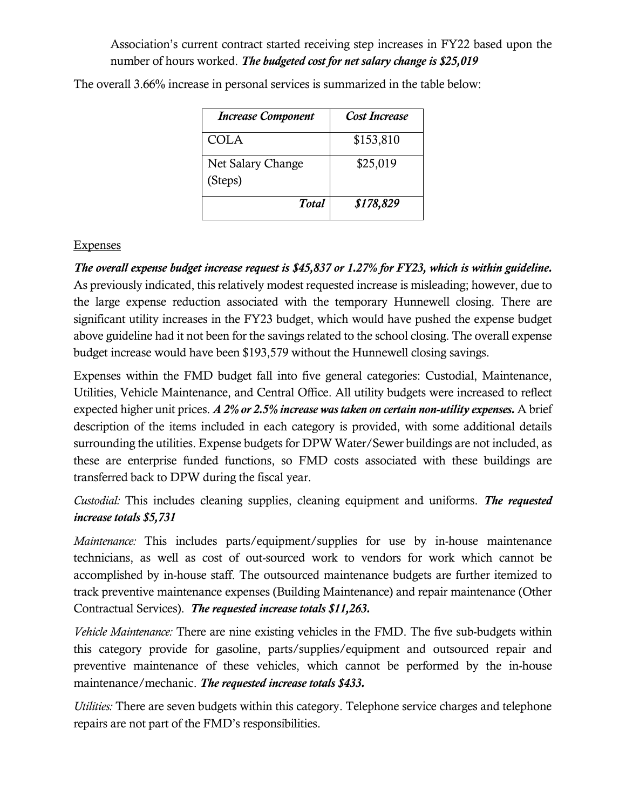# Association's current contract started receiving step increases in FY22 based upon the number of hours worked. *The budgeted cost for net salary change is \$25,019*

| <b>Increase Component</b>    | Cost Increase |
|------------------------------|---------------|
| <b>COLA</b>                  | \$153,810     |
| Net Salary Change<br>(Steps) | \$25,019      |
| <b>Total</b>                 | \$178,829     |

The overall 3.66% increase in personal services is summarized in the table below:

#### **Expenses**

*The overall expense budget increase request is \$45,837 or 1.27% for FY23, which is within guideline.* As previously indicated, this relatively modest requested increase is misleading; however, due to the large expense reduction associated with the temporary Hunnewell closing. There are significant utility increases in the FY23 budget, which would have pushed the expense budget above guideline had it not been for the savings related to the school closing. The overall expense budget increase would have been \$193,579 without the Hunnewell closing savings.

Expenses within the FMD budget fall into five general categories: Custodial, Maintenance, Utilities, Vehicle Maintenance, and Central Office. All utility budgets were increased to reflect expected higher unit prices. *A 2% or 2.5% increase was taken on certain non-utility expenses.* A brief description of the items included in each category is provided, with some additional details surrounding the utilities. Expense budgets for DPW Water/Sewer buildings are not included, as these are enterprise funded functions, so FMD costs associated with these buildings are transferred back to DPW during the fiscal year.

*Custodial:* This includes cleaning supplies, cleaning equipment and uniforms. *The requested increase totals \$5,731* 

*Maintenance:* This includes parts/equipment/supplies for use by in-house maintenance technicians, as well as cost of out-sourced work to vendors for work which cannot be accomplished by in-house staff. The outsourced maintenance budgets are further itemized to track preventive maintenance expenses (Building Maintenance) and repair maintenance (Other Contractual Services). *The requested increase totals \$11,263.*

*Vehicle Maintenance:* There are nine existing vehicles in the FMD. The five sub-budgets within this category provide for gasoline, parts/supplies/equipment and outsourced repair and preventive maintenance of these vehicles, which cannot be performed by the in-house maintenance/mechanic. *The requested increase totals \$433.*

*Utilities:* There are seven budgets within this category. Telephone service charges and telephone repairs are not part of the FMD's responsibilities.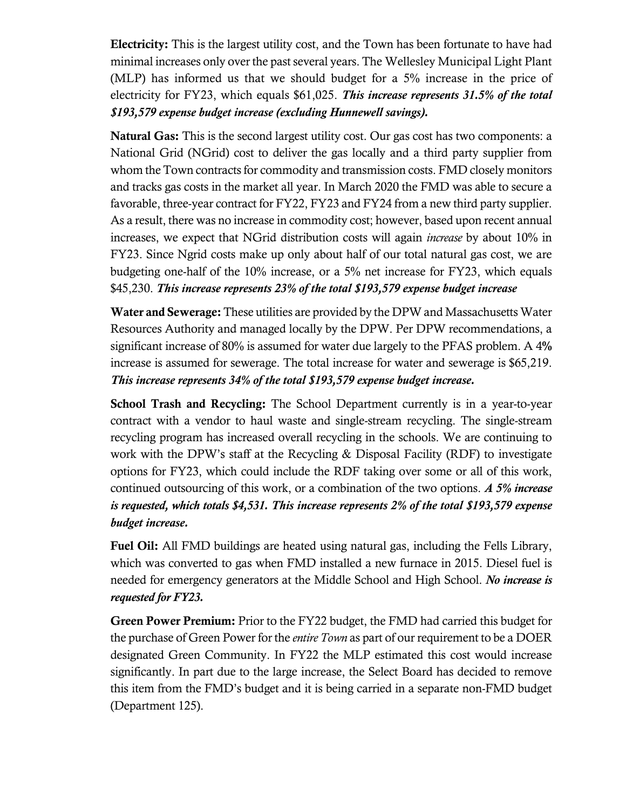Electricity: This is the largest utility cost, and the Town has been fortunate to have had minimal increases only over the past several years. The Wellesley Municipal Light Plant (MLP) has informed us that we should budget for a 5% increase in the price of electricity for FY23, which equals \$61,025. *This increase represents 31.5% of the total \$193,579 expense budget increase (excluding Hunnewell savings).* 

Natural Gas: This is the second largest utility cost. Our gas cost has two components: a National Grid (NGrid) cost to deliver the gas locally and a third party supplier from whom the Town contracts for commodity and transmission costs. FMD closely monitors and tracks gas costs in the market all year. In March 2020 the FMD was able to secure a favorable, three-year contract for FY22, FY23 and FY24 from a new third party supplier. As a result, there was no increase in commodity cost; however, based upon recent annual increases, we expect that NGrid distribution costs will again *increase* by about 10% in FY23. Since Ngrid costs make up only about half of our total natural gas cost, we are budgeting one-half of the 10% increase, or a 5% net increase for FY23, which equals \$45,230. *This increase represents 23% of the total \$193,579 expense budget increase*

Water and Sewerage: These utilities are provided by the DPW and Massachusetts Water Resources Authority and managed locally by the DPW. Per DPW recommendations, a significant increase of 80% is assumed for water due largely to the PFAS problem. A 4% increase is assumed for sewerage. The total increase for water and sewerage is \$65,219. *This increase represents 34% of the total \$193,579 expense budget increase.*

School Trash and Recycling: The School Department currently is in a year-to-year contract with a vendor to haul waste and single-stream recycling. The single-stream recycling program has increased overall recycling in the schools. We are continuing to work with the DPW's staff at the Recycling & Disposal Facility (RDF) to investigate options for FY23, which could include the RDF taking over some or all of this work, continued outsourcing of this work, or a combination of the two options. *A 5% increase is requested, which totals \$4,531. This increase represents 2% of the total \$193,579 expense budget increase.*

Fuel Oil: All FMD buildings are heated using natural gas, including the Fells Library, which was converted to gas when FMD installed a new furnace in 2015. Diesel fuel is needed for emergency generators at the Middle School and High School. *No increase is requested for FY23.* 

Green Power Premium: Prior to the FY22 budget, the FMD had carried this budget for the purchase of Green Power for the *entire Town* as part of our requirement to be a DOER designated Green Community. In FY22 the MLP estimated this cost would increase significantly. In part due to the large increase, the Select Board has decided to remove this item from the FMD's budget and it is being carried in a separate non-FMD budget (Department 125).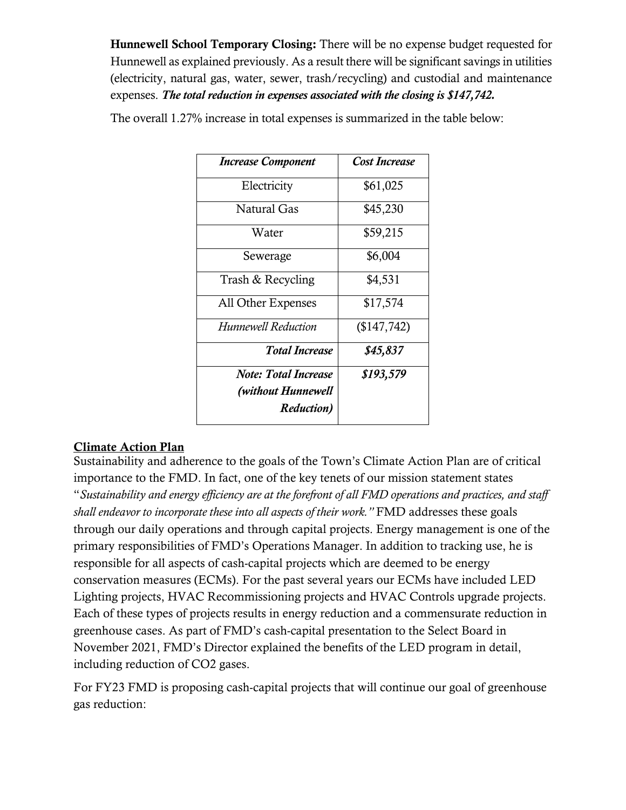Hunnewell School Temporary Closing: There will be no expense budget requested for Hunnewell as explained previously. As a result there will be significant savings in utilities (electricity, natural gas, water, sewer, trash/recycling) and custodial and maintenance expenses. *The total reduction in expenses associated with the closing is \$147,742.*

| <b>Increase Component</b>   | <b>Cost Increase</b> |
|-----------------------------|----------------------|
| Electricity                 | \$61,025             |
| Natural Gas                 | \$45,230             |
| Water                       | \$59,215             |
| Sewerage                    | \$6,004              |
| Trash & Recycling           | \$4,531              |
| All Other Expenses          | \$17,574             |
| Hunnewell Reduction         | (\$147,742)          |
| <b>Total Increase</b>       | \$45,837             |
| <b>Note: Total Increase</b> | \$193,579            |
| (without Hunnewell          |                      |
| <b>Reduction</b> )          |                      |

The overall 1.27% increase in total expenses is summarized in the table below:

#### Climate Action Plan

Sustainability and adherence to the goals of the Town's Climate Action Plan are of critical importance to the FMD. In fact, one of the key tenets of our mission statement states "*Sustainability and energy efficiency are at the forefront of all FMD operations and practices, and staff shall endeavor to incorporate these into all aspects of their work."* FMD addresses these goals through our daily operations and through capital projects. Energy management is one of the primary responsibilities of FMD's Operations Manager. In addition to tracking use, he is responsible for all aspects of cash-capital projects which are deemed to be energy conservation measures (ECMs). For the past several years our ECMs have included LED Lighting projects, HVAC Recommissioning projects and HVAC Controls upgrade projects. Each of these types of projects results in energy reduction and a commensurate reduction in greenhouse cases. As part of FMD's cash-capital presentation to the Select Board in November 2021, FMD's Director explained the benefits of the LED program in detail, including reduction of CO2 gases.

For FY23 FMD is proposing cash-capital projects that will continue our goal of greenhouse gas reduction: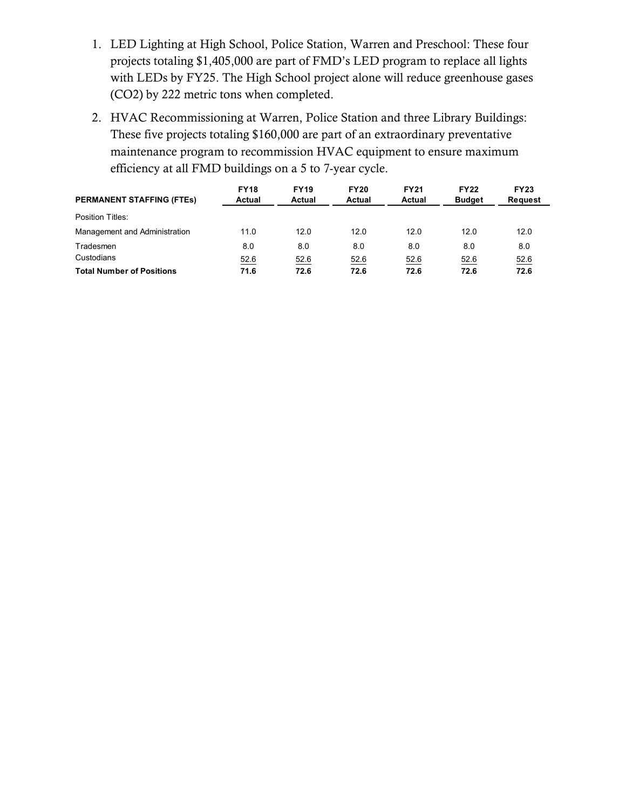- 1. LED Lighting at High School, Police Station, Warren and Preschool: These four projects totaling \$1,405,000 are part of FMD's LED program to replace all lights with LEDs by FY25. The High School project alone will reduce greenhouse gases (CO2) by 222 metric tons when completed.
- 2. HVAC Recommissioning at Warren, Police Station and three Library Buildings: These five projects totaling \$160,000 are part of an extraordinary preventative maintenance program to recommission HVAC equipment to ensure maximum efficiency at all FMD buildings on a 5 to 7-year cycle.

| <b>PERMANENT STAFFING (FTEs)</b> | <b>FY18</b><br>Actual | <b>FY19</b><br>Actual | <b>FY20</b><br>Actual | <b>FY21</b><br>Actual | <b>FY22</b><br><b>Budget</b> | <b>FY23</b><br><b>Request</b> |
|----------------------------------|-----------------------|-----------------------|-----------------------|-----------------------|------------------------------|-------------------------------|
| Position Titles:                 |                       |                       |                       |                       |                              |                               |
| Management and Administration    | 11.0                  | 12.0                  | 12.0                  | 12.0                  | 12.0                         | 12.0                          |
| Tradesmen                        | 8.0                   | 8.0                   | 8.0                   | 8.0                   | 8.0                          | 8.0                           |
| Custodians                       | 52.6                  | 52.6                  | 52.6                  | 52.6                  | 52.6                         | 52.6                          |
| <b>Total Number of Positions</b> | 71.6                  | 72.6                  | 72.6                  | 72.6                  | 72.6                         | 72.6                          |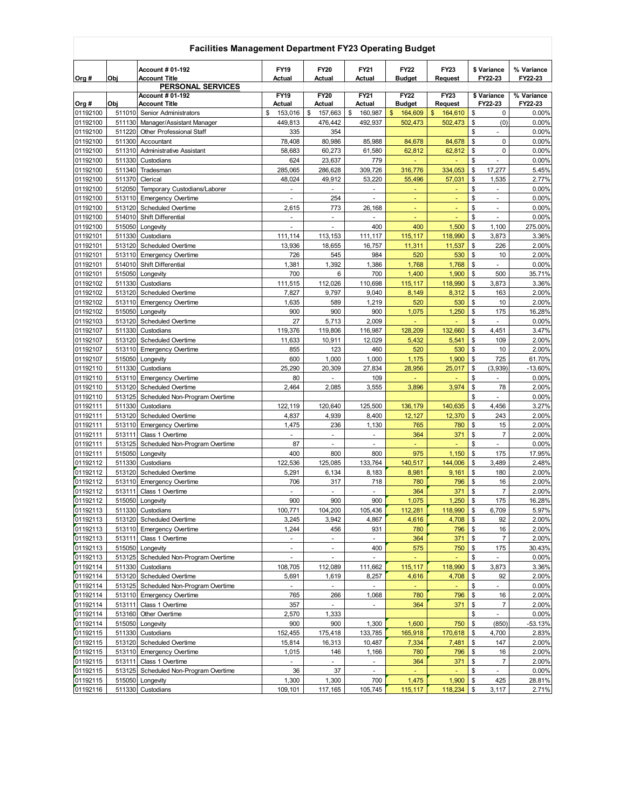|                      | Facilities Management Department FY23 Operating Budget |                                                     |                           |                          |                                    |                   |                           |          |                                            |                 |
|----------------------|--------------------------------------------------------|-----------------------------------------------------|---------------------------|--------------------------|------------------------------------|-------------------|---------------------------|----------|--------------------------------------------|-----------------|
|                      |                                                        | <b>Account # 01-192</b>                             | <b>FY19</b>               | <b>FY20</b>              | FY21                               | <b>FY22</b>       | <b>FY23</b>               |          | \$ Variance                                | % Variance      |
| Org #                | Obj                                                    | <b>Account Title</b>                                | Actual                    | Actual                   | Actual                             | <b>Budget</b>     | Request                   |          | FY22-23                                    | FY22-23         |
|                      |                                                        | <b>PERSONAL SERVICES</b><br><b>Account # 01-192</b> | <b>FY19</b>               | <b>FY20</b>              | FY21                               | <b>FY22</b>       | <b>FY23</b>               |          | \$ Variance                                | % Variance      |
| Org #                | Obj                                                    | Account Title                                       | Actual                    | Actual                   | Actual                             | <b>Budget</b>     | <b>Request</b>            |          | FY22-23                                    | FY22-23         |
| 01192100             | 511010                                                 | Senior Administrators                               | 153,016<br>\$             | \$<br>157,663            | \$<br>160,987                      | \$<br>164,609     | \$<br>164,610             | \$       | 0                                          | 0.00%           |
| 01192100             | 511130                                                 | Manager/Assistant Manager                           | 449,813                   | 476,442<br>354           | 492,937                            | 502,473           | 502,473                   | \$<br>\$ | (0)<br>$\mathbf{r}$                        | 0.00%           |
| 01192100<br>01192100 | 511220<br>511300                                       | Other Professional Staff<br>Accountant              | 335<br>78,408             | 80,986                   | 85,988                             | 84,678            | 84,678                    | \$       | 0                                          | 0.00%<br>0.00%  |
| 01192100             | 511310                                                 | <b>Administrative Assistant</b>                     | 58,683                    | 60,273                   | 61,580                             | 62,812            | 62,812                    | \$       | 0                                          | 0.00%           |
| 01192100             | 511330                                                 | Custodians                                          | 624                       | 23,637                   | 779                                |                   |                           | \$       | $\sim$                                     | 0.00%           |
| 01192100             | 511340                                                 | Tradesman                                           | 285,065                   | 286,628                  | 309,726                            | 316,776           | 334,053                   | \$       | 17,277                                     | 5.45%           |
| 01192100             | 511370                                                 | Clerical                                            | 48,024                    | 49,912                   | 53,220                             | 55,496            | 57,031                    | \$       | 1,535                                      | 2.77%           |
| 01192100             | 512050                                                 | Temporary Custodians/Laborer                        |                           |                          | ä,                                 | ٠                 |                           | \$       | $\blacksquare$                             | 0.00%           |
| 01192100             | 513110                                                 | <b>Emergency Overtime</b>                           | $\blacksquare$            | 254                      | $\blacksquare$                     | ٠                 | Ξ                         | \$       | $\blacksquare$                             | 0.00%           |
| 01192100<br>01192100 | 513120<br>514010                                       | Scheduled Overtime<br>Shift Differential            | 2,615<br>٠                | 773<br>$\blacksquare$    | 26,168<br>$\overline{\phantom{a}}$ | ٠                 | ٠                         | \$<br>\$ | $\blacksquare$<br>$\overline{\phantom{a}}$ | 0.00%<br>0.00%  |
| 01192100             | 515050                                                 | Longevity                                           | ٠                         | ÷                        | 400                                | 400               | 1,500                     | \$       | 1,100                                      | 275.00%         |
| 01192101             | 511330                                                 | Custodians                                          | 111,114                   | 113,153                  | 111,117                            | 115,117           | 118,990                   | \$       | 3,873                                      | 3.36%           |
| 01192101             | 513120                                                 | Scheduled Overtime                                  | 13,936                    | 18,655                   | 16,757                             | 11,311            | 11,537                    | \$       | 226                                        | 2.00%           |
| 01192101             | 513110                                                 | <b>Emergency Overtime</b>                           | 726                       | 545                      | 984                                | 520               | 530                       | \$       | 10                                         | 2.00%           |
| 01192101             | 514010                                                 | Shift Differential                                  | 1,381                     | 1,392                    | 1,386                              | 1,768             | 1,768                     | \$       | $\omega$                                   | 0.00%           |
| 01192101             | 515050                                                 | Longevity                                           | 700                       | 6                        | 700                                | 1,400             | 1,900                     | \$       | 500                                        | 35.71%          |
| 01192102             | 511330                                                 | Custodians                                          | 111,515                   | 112,026                  | 110,698                            | 115,117           | 118,990                   | \$       | 3,873                                      | 3.36%           |
| 01192102             | 513120                                                 | <b>Scheduled Overtime</b>                           | 7,827                     | 9,797                    | 9,040                              | 8,149             | 8,312                     | \$       | 163                                        | 2.00%           |
| 01192102<br>01192102 | 513110<br>515050                                       | <b>Emergency Overtime</b><br>Longevity              | 1,635<br>900              | 589<br>900               | 1,219<br>900                       | 520<br>1,075      | 530<br>1,250              | \$<br>\$ | 10<br>175                                  | 2.00%<br>16.28% |
| 01192103             | 513120                                                 | Scheduled Overtime                                  | 27                        | 5,713                    | 2,009                              | ä,                |                           | \$       | ÷,                                         | 0.00%           |
| 01192107             | 511330                                                 | Custodians                                          | 119,376                   | 119,806                  | 116,987                            | 128,209           | 132,660                   | \$       | 4,451                                      | 3.47%           |
| 01192107             | 513120                                                 | Scheduled Overtime                                  | 11,633                    | 10,911                   | 12,029                             | 5,432             | 5,541                     | \$       | 109                                        | 2.00%           |
| 01192107             | 513110                                                 | <b>Emergency Overtime</b>                           | 855                       | 123                      | 460                                | 520               | 530                       | \$       | 10                                         | 2.00%           |
| 01192107             | 515050                                                 | Longevity                                           | 600                       | 1,000                    | 1,000                              | 1,175             | 1,900                     | \$       | 725                                        | 61.70%          |
| 01192110             | 511330                                                 | Custodians                                          | 25,290                    | 20,309                   | 27,834                             | 28,956            | 25,017                    | \$       | (3,939)                                    | $-13.60%$       |
| 01192110             | 513110                                                 | <b>Emergency Overtime</b>                           | 80                        |                          | 109                                |                   |                           | \$       |                                            | 0.00%           |
| 01192110<br>01192110 | 513120                                                 | Scheduled Overtime                                  | 2,464                     | 2,085                    | 3,555                              | 3,896             | 3,974                     | \$<br>\$ | 78                                         | 2.00%<br>0.00%  |
| 01192111             | 513125<br>511330                                       | Scheduled Non-Program Overtime<br>Custodians        | 122,119                   | 120,640                  | 125,500                            | 136,179           | 140,635                   | \$       | 4,456                                      | 3.27%           |
| 01192111             | 513120                                                 | <b>Scheduled Overtime</b>                           | 4,837                     | 4,939                    | 8,400                              | 12,127            | 12,370                    | \$       | 243                                        | 2.00%           |
| 01192111             | 513110                                                 | <b>Emergency Overtime</b>                           | 1,475                     | 236                      | 1,130                              | 765               | 780                       | \$       | 15                                         | 2.00%           |
| 01192111             | 513111                                                 | Class 1 Overtime                                    |                           | $\overline{\phantom{a}}$ | $\blacksquare$                     | 364               | 371                       | \$       | $\overline{7}$                             | 2.00%           |
| 01192111             | 513125                                                 | Scheduled Non-Program Overtime                      | 87                        | ٠                        | ٠                                  | Ξ                 |                           | \$       | ÷                                          | 0.00%           |
| 01192111             | 515050                                                 | Longevity                                           | 400                       | 800                      | 800                                | 975               | 1,150                     | \$       | 175                                        | 17.95%          |
| 01192112             | 511330                                                 | Custodians                                          | 122,536                   | 125,085                  | 133,764                            | 140,517           | 144,006                   | \$       | 3,489                                      | 2.48%           |
| 01192112             | 513120<br>513110                                       | Scheduled Overtime                                  | 5,291                     | 6,134                    | 8,183                              | 8,981             | 9,161<br>796              | \$<br>\$ | 180<br>16                                  | 2.00%           |
| 01192112<br>01192112 | 513111                                                 | <b>Emergency Overtime</b><br>Class 1 Overtime       | 706<br>÷,                 | 317                      | 718<br>$\mathbf{r}$                | 780<br>364        | 371                       | \$       | $\overline{7}$                             | 2.00%<br>2.00%  |
| 01192112             |                                                        | 515050 Longevity                                    | 900                       | 900                      | 900                                | 1,075             | $1,250$ \$                |          | 175                                        | 16.28%          |
| 01192113             |                                                        | 511330 Custodians                                   | 100,771                   | 104,200                  | 105,436                            | 112,281           | 118,990                   | \$       | 6,709                                      | 5.97%           |
| 01192113             |                                                        | 513120 Scheduled Overtime                           | 3,245                     | 3,942                    | 4,867                              | 4,616             | 4,708                     | \$       | 92                                         | 2.00%           |
| 01192113             |                                                        | 513110 Emergency Overtime                           | 1,244                     | 456                      | 931                                | 780               | 796                       | \$       | 16                                         | 2.00%           |
| 01192113             | 513111                                                 | Class 1 Overtime                                    | $\blacksquare$            | $\blacksquare$           | $\blacksquare$                     | 364               | 371                       | \$       | $\overline{7}$                             | 2.00%           |
| 01192113             | 515050                                                 | Longevity                                           | $\overline{\phantom{a}}$  | $\blacksquare$           | 400                                | 575               | 750                       | \$       | 175                                        | 30.43%          |
| 01192113<br>01192114 | 513125<br>511330                                       | Scheduled Non-Program Overtime<br>Custodians        | $\blacksquare$<br>108,705 | $\blacksquare$           | $\blacksquare$<br>111,662          | $\sim$<br>115,117 | $\blacksquare$<br>118,990 | \$<br>\$ | $\blacksquare$<br>3,873                    | 0.00%<br>3.36%  |
| 01192114             |                                                        | 513120 Scheduled Overtime                           | 5,691                     | 112,089<br>1,619         | 8,257                              | 4,616             | 4,708                     | \$       | 92                                         | 2.00%           |
| 01192114             |                                                        | 513125 Scheduled Non-Program Overtime               | $\blacksquare$            | ÷.                       | $\sim$                             | ÷.                |                           | \$       | ÷.                                         | 0.00%           |
| 01192114             |                                                        | 513110 Emergency Overtime                           | 765                       | 266                      | 1,068                              | 780               | 796                       | \$       | 16                                         | 2.00%           |
| 01192114             |                                                        | 513111 Class 1 Overtime                             | 357                       | $\omega_{\rm c}$         | $\omega$                           | 364               | 371                       | -\$      | $\overline{7}$                             | 2.00%           |
| 01192114             |                                                        | 513160 Other Overtime                               | 2,570                     | 1,333                    |                                    |                   |                           | \$       | $\blacksquare$                             | 0.00%           |
| 01192114             |                                                        | 515050 Longevity                                    | 900                       | 900                      | 1,300                              | 1,600             | 750                       | \$       | (850)                                      | $-53.13%$       |
| 01192115             |                                                        | 511330 Custodians                                   | 152,455                   | 175,418                  | 133,785                            | 165,918           | 170,618                   | \$       | 4,700                                      | 2.83%           |
| 01192115             |                                                        | 513120 Scheduled Overtime                           | 15,814                    | 16,313                   | 10,487                             | 7,334             | 7,481                     | \$       | 147                                        | 2.00%           |
| 01192115<br>01192115 | 513111                                                 | 513110 Emergency Overtime<br>Class 1 Overtime       | 1,015<br>$\blacksquare$   | 146<br>٠                 | 1,166<br>$\blacksquare$            | 780<br>364        | 796<br>371                | \$<br>\$ | 16<br>$\overline{7}$                       | 2.00%<br>2.00%  |
| 01192115             |                                                        | 513125 Scheduled Non-Program Overtime               | 36                        | 37                       | $\blacksquare$                     | Ξ                 | ÷                         | \$       | $\sim$                                     | 0.00%           |
| 01192115             |                                                        | 515050 Longevity                                    | 1,300                     | 1,300                    | 700                                | 1,475             | 1,900                     | \$       | 425                                        | 28.81%          |
| 01192116             |                                                        | 511330 Custodians                                   | 109,101                   | 117,165                  | 105,745                            | 115,117           | $118,234$ \$              |          | 3,117                                      | 2.71%           |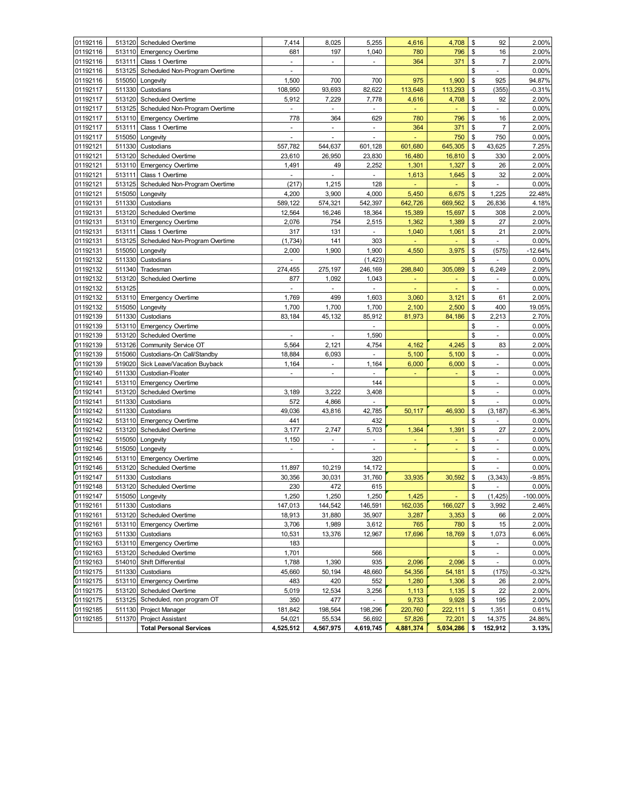| 01192116 |        | 513120 Scheduled Overtime                      | 7,414          | 8,025          | 5,255                    | 4,616     | 4,708                  | \$             | 92                       | 2.00%          |
|----------|--------|------------------------------------------------|----------------|----------------|--------------------------|-----------|------------------------|----------------|--------------------------|----------------|
| 01192116 | 513110 | <b>Emergency Overtime</b>                      | 681            | 197            | 1,040                    | 780       | 796                    | \$             | 16                       | 2.00%          |
| 01192116 | 513111 | Class 1 Overtime                               | ٠              | ۰              | $\overline{\phantom{a}}$ | 364       | 371                    | \$             | $\overline{7}$           | 2.00%          |
| 01192116 | 513125 | Scheduled Non-Program Overtime                 | ÷,             |                |                          |           |                        | \$             | ÷                        | 0.00%          |
| 01192116 | 515050 | Longevity                                      | 1,500          | 700            | 700                      | 975       | 1,900                  | \$             | 925                      | 94.87%         |
| 01192117 | 511330 | Custodians                                     | 108,950        | 93,693         | 82,622                   | 113,648   | 113,293                | \$             | (355)                    | $-0.31%$       |
| 01192117 | 513120 | Scheduled Overtime                             | 5,912          | 7,229          | 7,778                    | 4,616     | 4,708                  | \$             | 92                       | 2.00%          |
| 01192117 | 513125 | Scheduled Non-Program Overtime                 | $\overline{a}$ |                | $\overline{a}$           |           |                        | \$             | ÷.                       | 0.00%          |
| 01192117 | 513110 | <b>Emergency Overtime</b>                      | 778            | 364            | 629                      | 780       | 796                    | \$             | 16                       | 2.00%          |
| 01192117 | 513111 | Class 1 Overtime                               |                |                | $\overline{\phantom{a}}$ | 364       | 371                    | \$             | $\overline{7}$           | 2.00%          |
| 01192117 | 515050 | Longevity                                      | ÷,             | ÷              | ÷,                       |           | 750                    | \$             | 750                      | 0.00%          |
| 01192121 | 511330 | Custodians                                     | 557,782        | 544,637        | 601,128                  | 601,680   | 645,305                | \$             | 43,625                   | 7.25%          |
| 01192121 | 513120 | <b>Scheduled Overtime</b>                      | 23,610         | 26,950         | 23,830                   | 16,480    | 16,810                 | \$             | 330                      | 2.00%          |
| 01192121 | 513110 | <b>Emergency Overtime</b>                      | 1,491          | 49             | 2,252                    | 1,301     | 1,327                  | \$             | 26                       | 2.00%          |
| 01192121 | 513111 | Class 1 Overtime                               | $\blacksquare$ | ٠              | $\blacksquare$           | 1,613     | 1,645                  | \$             | 32                       | 2.00%          |
| 01192121 | 513125 | Scheduled Non-Program Overtime                 | (217)          | 1,215          | 128                      | ٠         | ä,                     | \$             | ÷                        | 0.00%          |
| 01192121 | 515050 | Longevity                                      | 4,200          | 3,900          | 4,000                    | 5,450     | 6,675                  | \$             | 1,225                    | 22.48%         |
| 01192131 | 511330 | Custodians                                     | 589,122        | 574,321        | 542,397                  | 642,726   | 669,562                | \$             | 26,836                   | 4.18%          |
| 01192131 | 513120 | Scheduled Overtime                             | 12,564         | 16,246         | 18,364                   | 15,389    | 15,697                 | \$             | 308                      | 2.00%          |
| 01192131 | 513110 | <b>Emergency Overtime</b>                      | 2,076          | 754            | 2,515                    | 1,362     | 1,389                  | \$             | 27                       | 2.00%          |
| 01192131 | 513111 | Class 1 Overtime                               | 317            | 131            | ÷.                       | 1,040     | 1,061                  | $\mathfrak{s}$ | 21                       | 2.00%          |
| 01192131 | 513125 | Scheduled Non-Program Overtime                 | (1,734)        | 141            | 303                      |           |                        | \$             |                          | 0.00%          |
| 01192131 | 515050 | Longevity                                      | 2,000          | 1,900          | 1,900                    | 4,550     | 3,975                  | \$             | (575)                    | $-12.64%$      |
| 01192132 | 511330 | Custodians                                     |                |                | (1, 423)                 |           |                        | \$             | ÷,                       | 0.00%          |
| 01192132 | 511340 | Tradesman                                      | 274,455        | 275,197        | 246,169                  | 298,840   | 305,089                | \$             | 6,249                    | 2.09%          |
| 01192132 | 513120 | Scheduled Overtime                             | 877            | 1,092          | 1,043                    | Ξ         | ٠                      | \$             | $\blacksquare$           | 0.00%          |
| 01192132 | 513125 |                                                |                |                | $\blacksquare$           |           |                        | \$             | $\overline{\phantom{a}}$ | 0.00%          |
| 01192132 | 513110 | <b>Emergency Overtime</b>                      | 1,769          | 499            | 1,603                    | 3,060     | 3,121                  | \$             | 61                       | 2.00%          |
| 01192132 | 515050 | Longevity                                      | 1,700          | 1,700          | 1,700                    | 2,100     | 2,500                  | \$             | 400                      | 19.05%         |
| 01192139 | 511330 | Custodians                                     | 83,184         | 45,132         | 85,912                   | 81,973    | 84,186                 | \$             | 2,213                    | 2.70%          |
| 01192139 | 513110 | <b>Emergency Overtime</b>                      |                |                | ÷                        |           |                        | \$             | $\sim$                   | 0.00%          |
| 01192139 | 513120 | Scheduled Overtime                             | $\overline{a}$ | ÷,             | 1,590                    |           |                        | \$             | $\mathcal{L}$            | 0.00%          |
| 01192139 | 513126 | Community Service OT                           | 5,564          | 2,121          | 4,754                    | 4,162     | 4,245                  | \$             | 83                       | 2.00%          |
| 01192139 | 515060 | Custodians-On Call/Standby                     | 18,884         | 6,093          | $\blacksquare$           | 5,100     | 5,100                  | \$             | $\blacksquare$           | 0.00%          |
| 01192139 | 519020 | Sick Leave/Vacation Buyback                    | 1,164          |                |                          | 6,000     | 6,000                  | \$             |                          | 0.00%          |
| 01192140 | 511330 |                                                |                |                | 1,164                    |           |                        | \$             | ٠<br>$\blacksquare$      |                |
| 01192141 | 513110 | Custodian-Floater<br><b>Emergency Overtime</b> |                |                | 144                      |           |                        | \$             | $\blacksquare$           | 0.00%<br>0.00% |
| 01192141 | 513120 | Scheduled Overtime                             | 3,189          | 3,222          | 3,408                    |           |                        | \$             | $\overline{\phantom{a}}$ | 0.00%          |
| 01192141 | 511330 | Custodians                                     | 572            | 4,866          |                          |           |                        | \$             | ÷,                       | 0.00%          |
| 01192142 | 511330 | Custodians                                     | 49,036         | 43,816         | 42,785                   | 50,117    | 46,930                 | \$             | (3, 187)                 | $-6.36%$       |
| 01192142 | 513110 | <b>Emergency Overtime</b>                      | 441            |                | 432                      |           |                        | \$             | ÷                        | 0.00%          |
| 01192142 | 513120 | Scheduled Overtime                             | 3,177          | 2,747          | 5,703                    | 1,364     | 1,391                  | \$             | 27                       | 2.00%          |
| 01192142 | 515050 | Longevity                                      | 1,150          | ÷.             | $\mathbf{r}$             | ä,        | ä,                     | \$             | $\omega$                 | 0.00%          |
| 01192146 | 515050 |                                                | ä,             | $\blacksquare$ | $\blacksquare$           |           |                        | \$             | $\sim$                   |                |
| 01192146 | 513110 | Longevity<br><b>Emergency Overtime</b>         |                |                | 320                      |           |                        | \$             | $\omega$                 | 0.00%<br>0.00% |
| 01192146 | 513120 | Scheduled Overtime                             | 11,897         | 10,219         | 14,172                   |           |                        | \$             | ÷.                       | 0.00%          |
| 01192147 | 511330 | Custodians                                     | 30,356         | 30,031         | 31,760                   | 33,935    | 30,592                 | \$             | (3, 343)                 | $-9.85%$       |
| 01192148 | 513120 | <b>Scheduled Overtime</b>                      | 230            | 472            | 615                      |           |                        | \$             |                          | 0.00%          |
| 01192147 |        | 515050 Longevity                               | 1,250          | 1,250          | 1,250                    | 1,425     |                        | \$             | (1, 425)                 | $-100.00\%$    |
| 01192161 |        |                                                | 147,013        | 144,542        |                          | 162,035   | <b>COLL</b><br>166,027 |                |                          |                |
| 01192161 |        | 511330 Custodians<br>513120 Scheduled Overtime | 18,913         | 31,880         | 146,591<br>35,907        | 3,287     | 3,353                  | \$<br>\$       | 3,992<br>66              | 2.46%<br>2.00% |
| 01192161 |        |                                                |                |                |                          |           |                        |                |                          |                |
|          |        | 513110 Emergency Overtime                      | 3,706          | 1,989          | 3,612                    | 765       | 780                    | \$             | 15                       | 2.00%          |
| 01192163 |        | 511330 Custodians                              | 10,531         | 13,376         | 12,967                   | 17,696    | 18,769                 | \$             | 1,073                    | 6.06%          |
| 01192163 |        | 513110 Emergency Overtime                      | 183            |                |                          |           |                        | \$             | $\blacksquare$           | 0.00%          |
| 01192163 |        | 513120 Scheduled Overtime                      | 1,701          |                | 566                      |           |                        | \$             | $\sim$<br>÷.             | 0.00%          |
| 01192163 |        | 514010 Shift Differential                      | 1,788          | 1,390          | 935                      | 2,096     | 2,096                  | \$             |                          | 0.00%          |
| 01192175 |        | 511330 Custodians                              | 45,660         | 50,194         | 48,660                   | 54,356    | 54,181                 | \$             | (175)                    | $-0.32%$       |
| 01192175 | 513110 | <b>Emergency Overtime</b>                      | 483            | 420            | 552                      | 1,280     | 1,306                  | \$             | 26                       | 2.00%          |
| 01192175 | 513120 | Scheduled Overtime                             | 5,019          | 12,534         | 3,256                    | 1,113     | 1,135                  | \$             | 22                       | 2.00%          |
| 01192175 | 513125 | Scheduled, non program OT                      | 350            | 477            |                          | 9,733     | 9,928                  | \$             | 195                      | 2.00%          |
| 01192185 | 511130 | Project Manager                                | 181,842        | 198,564        | 198,296                  | 220,760   | 222,111                | \$             | 1,351                    | 0.61%          |
| 01192185 | 511370 | <b>Project Assistant</b>                       | 54,021         | 55,534         | 56,692                   | 57,826    | 72,201                 | \$             | 14,375                   | 24.86%         |
|          |        | <b>Total Personal Services</b>                 | 4,525,512      | 4,567,975      | 4,619,745                | 4,881,374 | 5,034,286              | \$             | 152,912                  | 3.13%          |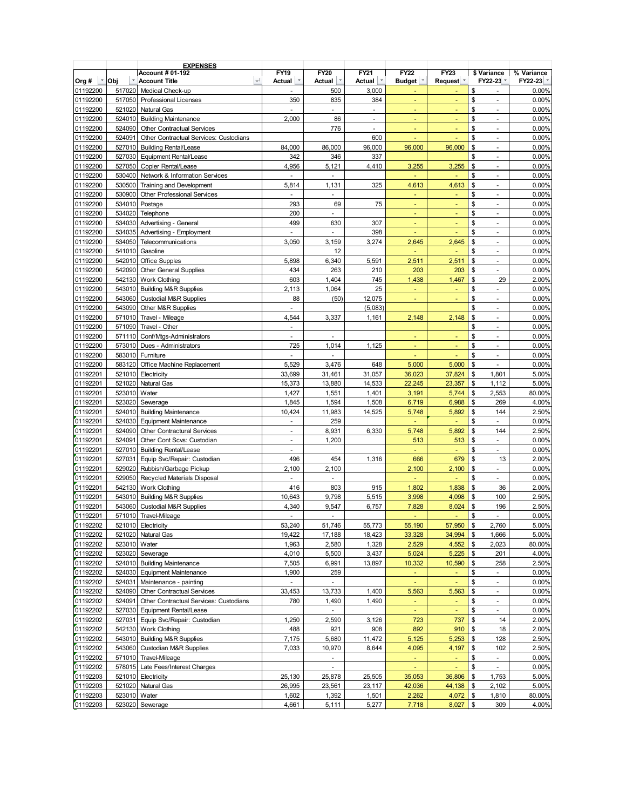|          |        | <b>EXPENSES</b>                        |                          |                     |                |                |                      |                                |                |
|----------|--------|----------------------------------------|--------------------------|---------------------|----------------|----------------|----------------------|--------------------------------|----------------|
|          |        | <b>Account # 01-192</b><br>۰Ī          | <b>FY19</b>              | <b>FY20</b>         | <b>FY21</b>    | <b>FY22</b>    | <b>FY23</b>          | \$ Variance                    | % Variance     |
| Org #    | Obj    | <b>Account Title</b>                   | Actual                   | Actual <sup>T</sup> | Actual         | Budget         | Request <sup>y</sup> | FY22-23                        | FY22-23        |
| 01192200 | 517020 | Medical Check-up                       | ٠                        | 500                 | 3,000          |                |                      | \$<br>$\blacksquare$           | 0.00%          |
| 01192200 | 517050 | <b>Professional Licenses</b>           | 350                      | 835                 | 384            |                |                      | \$<br>$\sim$                   | 0.00%          |
| 01192200 | 521020 | Natural Gas                            | ä,                       | ä,                  | $\blacksquare$ |                | L,                   | \$<br>$\mathcal{L}$            | 0.00%          |
| 01192200 | 524010 | <b>Building Maintenance</b>            | 2,000                    | 86                  | $\omega$       |                |                      | \$<br>$\sim$                   | 0.00%          |
| 01192200 | 524090 | <b>Other Contractual Services</b>      |                          | 776                 | $\blacksquare$ |                |                      | \$<br>$\blacksquare$           | 0.00%          |
| 01192200 | 524091 | Other Contractual Services: Custodians |                          |                     | 600            | Ξ              |                      | \$<br>$\blacksquare$           | 0.00%          |
| 01192200 | 527010 | <b>Building Rental/Lease</b>           | 84,000                   | 86,000              | 96,000         | 96,000         | 96,000               | \$<br>÷                        | 0.00%          |
| 01192200 | 527030 | Equipment Rental/Lease                 | 342                      | 346                 | 337            |                |                      | \$<br>÷                        | 0.00%          |
| 01192200 | 527050 | Copier Rental/Lease                    | 4,956                    | 5,121               | 4,410          | 3,255          | 3,255                | \$<br>$\blacksquare$           | 0.00%          |
| 01192200 | 530400 | Network & Information Services         | ÷,                       | ÷,                  |                | ä,             |                      | \$<br>$\blacksquare$           | 0.00%          |
| 01192200 | 530500 | Training and Development               | 5,814                    | 1,131               | 325            | 4,613          | 4,613                | \$<br>$\blacksquare$           | 0.00%          |
| 01192200 | 530900 | <b>Other Professional Services</b>     | $\blacksquare$           | ÷,                  |                | ÷              | ٠                    | \$<br>$\blacksquare$           | 0.00%          |
| 01192200 | 534010 | Postage                                | 293                      | 69                  | 75             |                |                      | \$<br>$\overline{\phantom{a}}$ | 0.00%          |
| 01192200 | 534020 | Telephone                              | 200                      | ä,                  |                | Ξ              | Ξ                    | \$<br>$\blacksquare$           | 0.00%          |
| 01192200 | 534030 | Advertising - General                  | 499                      | 630                 | 307            | Ξ              | Ξ                    | \$<br>$\blacksquare$           | 0.00%          |
| 01192200 | 534035 | Advertising - Employment               | L.                       | L.                  | 398            |                |                      | \$<br>$\omega$                 | 0.00%          |
| 01192200 | 534050 | Telecommunications                     | 3,050                    | 3,159               | 3,274          | 2,645          | 2,645                | \$<br>$\mathbf{r}$             | 0.00%          |
| 01192200 | 541010 | Gasoline                               |                          | 12                  |                | ä,             | ä,                   | \$<br>$\omega$                 | 0.00%          |
|          | 542010 |                                        |                          | 6,340               |                |                |                      | \$                             |                |
| 01192200 |        | <b>Office Supples</b>                  | 5,898                    |                     | 5,591          | 2,511          | 2,511                | $\overline{\phantom{a}}$       | 0.00%          |
| 01192200 | 542090 | <b>Other General Supplies</b>          | 434                      | 263                 | 210            | 203            | 203                  | \$<br>÷                        | 0.00%          |
| 01192200 | 542130 | <b>Work Clothing</b>                   | 603                      | 1,404               | 745            | 1,438          | 1,467                | \$<br>29                       | 2.00%          |
| 01192200 | 543010 | <b>Building M&amp;R Supplies</b>       | 2,113                    | 1,064               | 25             |                |                      | \$<br>$\blacksquare$           | 0.00%          |
| 01192200 | 543060 | <b>Custodial M&amp;R Supplies</b>      | 88                       | (50)                | 12,075         | ٠              | ٠                    | \$<br>$\blacksquare$           | 0.00%          |
| 01192200 | 543090 | Other M&R Supplies                     | $\overline{\phantom{a}}$ |                     | (5,083)        |                |                      | \$<br>$\blacksquare$           | 0.00%          |
| 01192200 | 571010 | Travel - Mileage                       | 4,544                    | 3,337               | 1,161          | 2,148          | 2,148                | \$<br>$\blacksquare$           | 0.00%          |
| 01192200 | 571090 | Travel - Other                         | ÷,                       |                     |                |                |                      | \$<br>$\sim$                   | 0.00%          |
| 01192200 | 571110 | Conf/Mtgs-Administrators               | $\overline{\phantom{a}}$ | ä,                  |                | Ξ              | Ξ                    | \$<br>$\blacksquare$           | 0.00%          |
| 01192200 | 573010 | Dues - Administrators                  | 725                      | 1,014               | 1,125          |                |                      | \$<br>$\sim$                   | 0.00%          |
| 01192200 | 583010 | Furniture                              | $\overline{\phantom{a}}$ | ÷.                  |                |                |                      | \$<br>$\blacksquare$           | 0.00%          |
| 01192200 | 583120 | Office Machine Replacement             | 5,529                    | 3,476               | 648            | 5,000          | 5,000                | \$<br>$\blacksquare$           | 0.00%          |
| 01192201 | 521010 | Electricity                            | 33,699                   | 31,461              | 31,057         | 36,023         | 37,824               | \$<br>1,801                    | 5.00%          |
| 01192201 | 521020 | Natural Gas                            | 15,373                   | 13,880              | 14,533         | 22,245         | 23,357               | \$<br>1,112                    | 5.00%          |
| 01192201 | 523010 | Water                                  | 1,427                    | 1,551               | 1,401          | 3,191          | 5,744                | \$<br>2,553                    | 80.00%         |
| 01192201 | 523020 | Sewerage                               | 1,845                    | 1,594               | 1,508          | 6,719          | 6,988                | \$<br>269                      | 4.00%          |
| 01192201 | 524010 | <b>Building Maintenance</b>            | 10,424                   | 11,983              | 14,525         | 5,748          | 5,892                | \$<br>144                      | 2.50%          |
| 01192201 | 524030 |                                        |                          | 259                 |                |                |                      | \$                             | 0.00%          |
| 01192201 | 524090 | <b>Equipment Maintenance</b>           | $\overline{\phantom{a}}$ |                     | 6,330          | Ξ              | 5,892                | $\blacksquare$<br>\$<br>144    | 2.50%          |
|          |        | <b>Other Contractural Services</b>     | $\overline{\phantom{a}}$ | 8,931               |                | 5,748          |                      |                                |                |
| 01192201 | 524091 | Other Cont Scvs: Custodian             | $\blacksquare$           | 1,200               |                | 513            | 513                  | \$<br>$\sim$                   | 0.00%          |
| 01192201 | 527010 | <b>Building Rental/Lease</b>           | $\overline{\phantom{a}}$ |                     |                |                | ä,                   | \$<br>$\omega$                 | 0.00%          |
| 01192201 | 527031 | Equip Svc/Repair: Custodian            | 496                      | 454                 | 1,316          | 666            | 679                  | \$<br>13                       | 2.00%          |
| 01192201 | 529020 | Rubbish/Garbage Pickup                 | 2,100                    | 2,100               |                | 2,100          | 2,100                | \$<br>$\omega$                 | 0.00%          |
| 01192201 | 529050 | Recycled Materials Disposal            | ä,                       | L.                  |                |                |                      | \$<br>÷.                       | 0.00%          |
| 01192201 | 542130 | <b>Work Clothing</b>                   | 416                      | 803                 | 915            | 1,802          | 1,838                | \$<br>36                       | 2.00%          |
| 01192201 | 543010 | <b>Building M&amp;R Supplies</b>       | 10,643                   | 9,798               | 5,515          | 3,998          | 4,098                | \$<br>100                      | 2.50%          |
| 01192201 | 543060 | <b>Custodial M&amp;R Supplies</b>      | 4,340                    | 9,547               | 6,757          | 7,828          | 8,024                | \$<br>196                      | 2.50%          |
| 01192201 | 571010 | Travel-Mileage                         | $\overline{\phantom{a}}$ | $\blacksquare$      |                | Ξ              | Ξ                    | \$<br>ä,                       | 0.00%          |
| 01192202 |        | 521010 Electricity                     | 53,240                   | 51,746              | 55,773         | 55,190         | 57,950               | 2,760<br>\$                    | 5.00%          |
| 01192202 | 521020 | Natural Gas                            | 19,422                   | 17,188              | 18,423         | 33,328         | 34,994               | \$<br>1,666                    | 5.00%          |
| 01192202 | 523010 | Water                                  | 1,963                    | 2,580               | 1,328          | 2,529          | 4,552                | 2,023<br>\$                    | 80.00%         |
| 01192202 | 523020 | Sewerage                               | 4,010                    | 5,500               | 3,437          | 5,024          | 5,225                | \$<br>201                      | 4.00%          |
| 01192202 | 524010 | <b>Building Maintenance</b>            | 7,505                    | 6,991               | 13,897         | 10,332         | 10,590               | \$<br>258                      | 2.50%          |
| 01192202 | 524030 | <b>Equipment Maintenance</b>           | 1,900                    | 259                 |                | ÷.             | ä,                   | \$<br>$\sim$                   | 0.00%          |
| 01192202 | 524031 | Maintenance - painting                 | ÷.                       | ÷.                  |                |                |                      | \$<br>$\omega$                 | 0.00%          |
| 01192202 | 524090 | Other Contractual Services             | 33,453                   | 13,733              | 1,400          | 5,563          | 5,563                | \$<br>$\blacksquare$           | 0.00%          |
| 01192202 | 524091 | Other Contractual Services: Custodians | 780                      | 1,490               | 1,490          | $\equiv$       |                      | \$<br>$\blacksquare$           | 0.00%          |
| 01192202 | 527030 | <b>Equipment Rental/Lease</b>          |                          |                     |                |                |                      | \$                             |                |
| 01192202 | 527031 | Equip Svc/Repair: Custodian            | 1,250                    | 2,590               |                | 723            | 737                  | ÷<br>\$<br>14                  | 0.00%<br>2.00% |
|          |        |                                        |                          |                     | 3,126          |                |                      |                                |                |
| 01192202 | 542130 | Work Clothing                          | 488                      | 921                 | 908            | 892            | 910                  | \$<br>18                       | 2.00%          |
| 01192202 | 543010 | <b>Building M&amp;R Supplies</b>       | 7,175                    | 5,680               | 11,472         | 5,125          | 5,253                | \$<br>128                      | 2.50%          |
| 01192202 | 543060 | Custodian M&R Supplies                 | 7,033                    | 10,970              | 8,644          | 4,095          | 4,197                | \$<br>102                      | 2.50%          |
| 01192202 | 571010 | Travel-Mileage                         |                          | ٠                   |                | $\blacksquare$ | ٠                    | \$<br>$\sim$                   | 0.00%          |
| 01192202 | 578015 | Late Fees/Interest Charges             |                          | ÷,                  |                | Ξ              |                      | \$<br>$\blacksquare$           | 0.00%          |
| 01192203 | 521010 | Electricity                            | 25,130                   | 25,878              | 25,505         | 35,053         | 36,806               | \$<br>1,753                    | 5.00%          |
| 01192203 | 521020 | Natural Gas                            | 26,995                   | 23,561              | 23,117         | 42,036         | 44,138               | \$<br>2,102                    | 5.00%          |
| 01192203 | 523010 | Water                                  | 1,602                    | 1,392               | 1,501          | 2,262          | 4,072                | \$<br>1,810                    | 80.00%         |
| 01192203 | 523020 | Sewerage                               | 4,661                    | 5,111               | 5,277          | 7,718          | 8,027                | \$<br>309                      | 4.00%          |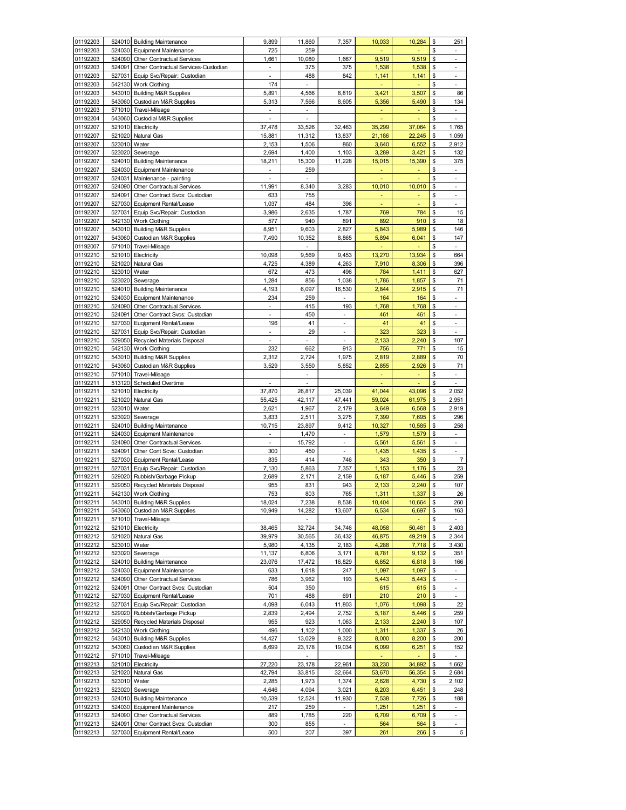| 01192203             | 524010           | <b>Building Maintenance</b>                                | 9,899            | 11,860                   | 7,357                    | 10,033         | 10,284         | \$       | 251                                         |
|----------------------|------------------|------------------------------------------------------------|------------------|--------------------------|--------------------------|----------------|----------------|----------|---------------------------------------------|
| 01192203             | 524030           | Equipment Maintenance                                      | 725              | 259                      |                          |                |                | \$       | $\overline{\phantom{a}}$                    |
| 01192203             | 524090           | Other Contractual Services                                 | 1,661            | 10,080                   | 1,667                    | 9,519          | 9,519          | \$       | $\overline{\phantom{a}}$                    |
| 01192203             | 524091           | Other Contractual Services-Custodian                       |                  | 375                      | 375                      | 1,538          | 1,538          | \$       | ÷,                                          |
| 01192203             | 527031           | Equip Svc/Repair: Custodian                                | $\overline{a}$   | 488                      | 842                      | 1,141          | 1,141          | \$       | ÷,                                          |
| 01192203             | 542130<br>543010 | Work Clothing                                              | 174              | $\overline{a}$           |                          |                |                | \$       | ÷                                           |
| 01192203             |                  | <b>Building M&amp;R Supplies</b>                           | 5,891            | 4,566                    | 8,819                    | 3,421          | 3,507<br>5,490 | \$<br>\$ | 86<br>134                                   |
| 01192203<br>01192203 | 543060<br>571010 | Custodian M&R Supplies                                     | 5,313            | 7,566                    | 8,605                    | 5,356          |                | \$       | L.                                          |
| 01192204             | 543060           | Travel-Mileage<br>Custodial M&R Supplies                   | $\overline{a}$   | $\overline{a}$           |                          | ÷,             |                | \$       | ÷,                                          |
| 01192207             | 521010           | Electricity                                                | 37,478           | 33,526                   | 32,463                   | 35,299         | 37,064         | \$       | 1,765                                       |
| 01192207             | 521020           | Natural Gas                                                | 15,881           | 11,312                   | 13,837                   | 21,186         | 22,245         | \$       | 1,059                                       |
| 01192207             | 523010           | Water                                                      | 2,153            | 1,506                    | 860                      | 3,640          | 6,552          | \$       | 2,912                                       |
| 01192207             | 523020           | Sewerage                                                   | 2,694            | 1,400                    | 1,103                    | 3,289          | 3,421          | \$       | 132                                         |
| 01192207             | 524010           | <b>Building Maintenance</b>                                | 18,211           | 15,300                   | 11,228                   | 15,015         | 15,390         | \$       | 375                                         |
| 01192207             | 524030           | <b>Equipment Maintenance</b>                               | ÷,               | 259                      |                          | ÷              | ٠              | \$       | $\sim$                                      |
| 01192207             | 524031           | Maintenance - painting                                     | -                | $\overline{\phantom{a}}$ |                          |                |                | \$       | $\overline{a}$                              |
| 01192207             | 524090           | Other Contractual Services                                 | 11,991           | 8,340                    | 3,283                    | 10,010         | 10,010         | \$       | $\overline{\phantom{a}}$                    |
| 01192207             | 524091           | Other Contract Svcs: Custodian                             | 633              | 755                      |                          |                |                | \$       | ÷,                                          |
| 01199207             | 527030           | <b>Equipment Rental/Lease</b>                              | 1,037            | 484                      | 396                      | ä,             |                | \$       | $\overline{\phantom{a}}$                    |
| 01192207             | 527031           | Equip Svc/Repair: Custodian                                | 3,986            | 2,635                    | 1,787                    | 769            | 784            | \$       | 15                                          |
| 01192207             | 542130           | <b>Work Clothing</b>                                       | 577              | 940                      | 891                      | 892            | 910            | \$       | 18                                          |
| 01192207             | 543010           | <b>Building M&amp;R Supplies</b>                           | 8,951            | 9,603                    | 2,827                    | 5,843          | 5,989          | \$       | 146                                         |
| 01192207             | 543060           | Custodian M&R Supplies                                     | 7,490            | 10,352                   | 8,865                    | 5,894          | 6,041          | \$       | 147                                         |
| 01192007             | 571010           | Travel-Mileage                                             |                  | ۰.                       |                          | ٠              | ٠              | \$       | $\sim$                                      |
| 01192210             | 521010           | Electricity                                                | 10,098           | 9,569                    | 9,453                    | 13,270         | 13,934         | \$       | 664                                         |
| 01192210             | 521020           | Natural Gas                                                | 4,725            | 4,389                    | 4,263                    | 7,910          | 8,306          | \$       | 396                                         |
| 01192210             | 523010           | Water                                                      | 672              | 473                      | 496                      | 784            | 1,411          | \$       | 627                                         |
| 01192210             | 523020           | Sewerage                                                   | 1,284            | 856                      | 1,038                    | 1,786          | 1,857          | \$       | 71                                          |
| 01192210             | 524010           | <b>Building Maintenance</b>                                | 4,193            | 6,097                    | 16,530                   | 2,844          | 2,915          | \$       | 71                                          |
| 01192210             | 524030<br>524090 | <b>Equipment Maintenance</b><br>Other Contractual Services | 234              | 259<br>415               |                          | 164<br>1,768   | 164<br>1,768   | \$<br>\$ | $\overline{a}$<br>÷.                        |
| 01192210             | 524091           |                                                            | L,               | 450                      | 193<br>L,                | 461            | 461            | \$       | ÷,                                          |
| 01192210<br>01192210 | 527030           | Other Contract Svcs: Custodian<br>Euqipment Rental/Lease   | 196              | 41                       | L,                       | 41             | 41             | \$       | $\mathbb{Z}^{\mathbb{Z}}$                   |
| 01192210             | 527031           | Equip Svc/Repair: Custodian                                | $\overline{a}$   | 29                       | $\overline{a}$           | 323            | 323            | \$       | $\overline{\phantom{a}}$                    |
| 01192210             | 529050           | Recycled Materials Disposal                                |                  |                          |                          | 2,133          | 2,240          | \$       | 107                                         |
| 01192210             | 542130           | <b>Work Clothing</b>                                       | 232              | 662                      | 913                      | 756            | 771            | \$       | 15                                          |
| 01192210             | 543010           | <b>Building M&amp;R Supplies</b>                           | 2,312            | 2,724                    | 1,975                    | 2,819          | 2,889          | \$       | 70                                          |
| 01192210             | 543060           | Custodian M&R Supplies                                     | 3,529            | 3,550                    | 5,852                    | 2,855          | 2,926          | \$       | 71                                          |
| 01192210             | 571010           | Travel-Mileage                                             |                  |                          |                          | ٠              |                | \$       |                                             |
| 01192211             | 513120           | Scheduled Overtime                                         | L.               | L.                       |                          | ÷              |                | \$       | ÷.                                          |
|                      |                  |                                                            |                  |                          |                          |                |                |          |                                             |
| 01192211             | 521010           | Electricity                                                | 37,870           | 26,817                   | 25,039                   | 41,044         | 43,096         | \$       | 2,052                                       |
| 01192211             | 521020           | Natural Gas                                                | 55,425           | 42,117                   | 47,441                   | 59,024         | 61,975         | \$       | 2,951                                       |
| 01192211             | 523010           | Water                                                      | 2,621            | 1,967                    | 2,179                    | 3,649          | 6,568          | \$       | 2,919                                       |
| 01192211             | 523020           | Sewerage                                                   | 3,833            | 2,511                    | 3,275                    | 7,399          | 7,695          | \$       | 296                                         |
| 01192211             | 524010           | <b>Building Maintenance</b>                                | 10,715           | 23,897                   | 9,412                    | 10,327         | 10,585         | \$       | 258                                         |
| 01192211             | 524030           | <b>Equipment Maintenance</b>                               | $\overline{a}$   | 1,470                    | $\blacksquare$           | 1,579          | 1,579          | \$       | $\overline{\phantom{a}}$                    |
| 01192211             | 524090           | <b>Other Contractual Services</b>                          | $\overline{a}$   | 15,792                   | $\overline{\phantom{a}}$ | 5,561          | 5,561          | \$       | $\overline{\phantom{a}}$                    |
| 01192211             | 524091           | Other Cont Scvs: Custodian                                 | 300              | 450                      |                          | 1,435          | 1,435          | \$       | $\overline{a}$                              |
| 01192211             | 527030           | <b>Equipment Rental/Lease</b>                              | 835              | 414                      | 746                      | 343            | 350            | \$       | $\overline{7}$                              |
| 01192211             | 527031           | Equip Svc/Repair: Custodian                                | 7,130            | 5,863                    | 7,357                    | 1,153          | 1,176          | \$       | 23                                          |
| 01192211             | 529020           | Rubbish/Garbage Pickup                                     | 2,689            | 2,171                    | 2,159                    | 5,187          | 5,446          | \$       | 259                                         |
| 01192211             | 529050           | Recycled Materials Disposal                                | 955              | 831                      | 943                      | 2,133          | 2,240          | \$       | 107                                         |
| 01192211             |                  | 542130 Work Clothing                                       | 753              | 803                      | 765                      | 1,311          | 1,337          | \$       | 26                                          |
| 01192211             | 543010           | <b>Building M&amp;R Supplies</b>                           | 18,024           | 7,238                    | 8,538                    | 10,404         | 10,664         | \$       | 260                                         |
| 01192211             | 543060           | Custodian M&R Supplies                                     | 10,949           | 14,282                   | 13,607                   | 6,534          | 6,697          | \$       | 163                                         |
| 01192211             | 571010           | Travel-Mileage                                             |                  | $\overline{\phantom{a}}$ |                          |                |                | \$       | $\blacksquare$                              |
| 01192212             | 521010           | Electricity                                                | 38,465           | 32,724                   | 34,746                   | 48,058         | 50,461         | \$       | 2,403                                       |
| 01192212             | 521020           | Natural Gas                                                | 39,979           | 30,565                   | 36,432                   | 46,875         | 49,219         | \$<br>\$ | 2,344                                       |
| 01192212             | 523010           | Water                                                      | 5,980            | 4,135                    | 2,183                    | 4,288          | 7,718          |          | 3,430                                       |
| 01192212<br>01192212 | 523020<br>524010 | Sewerage<br><b>Building Maintenance</b>                    | 11,137<br>23,076 | 6,806<br>17,472          | 3,171<br>16,829          | 8,781<br>6,652 | 9,132<br>6,818 | \$<br>\$ | 351<br>166                                  |
| 01192212             | 524030           | Equipment Maintenance                                      | 633              | 1,618                    | 247                      | 1,097          | 1,097          | \$       |                                             |
| 01192212             | 524090           | Other Contractual Services                                 | 786              | 3,962                    | 193                      | 5,443          | 5,443          | \$       | $\overline{\phantom{a}}$                    |
| 01192212             | 524091           | Other Contract Svcs: Custodian                             | 504              | 350                      |                          | 615            | 615            | \$       | $\overline{\phantom{a}}$                    |
| 01192212             | 527030           | Equipment Rental/Lease                                     | 701              | 488                      | 691                      | 210            | 210            | \$       | $\sim$                                      |
| 01192212             | 527031           | Equip Svc/Repair: Custodian                                | 4,098            | 6,043                    | 11,803                   | 1,076          | 1,098          | \$       | 22                                          |
| 01192212             | 529020           | Rubbish/Garbage Pickup                                     | 2,839            | 2,494                    | 2,752                    | 5,187          | 5,446          | \$       | 259                                         |
| 01192212             | 529050           | Recycled Materials Disposal                                | 955              | 923                      | 1,063                    | 2,133          | 2,240          | \$       | 107                                         |
| 01192212             | 542130           | Work Clothing                                              | 496              | 1,102                    | 1,000                    | 1,311          | 1,337          | \$       | 26                                          |
| 01192212             | 543010           | <b>Building M&amp;R Supplies</b>                           | 14,427           | 13,029                   | 9,322                    | 8,000          | 8,200          | \$       | 200                                         |
| 01192212             | 543060           | Custodian M&R Supplies                                     | 8,699            | 23,178                   | 19,034                   | 6,099          | 6,251          | \$       | 152                                         |
| 01192212             | 571010           | Travel-Mileage                                             |                  | $\overline{\phantom{a}}$ |                          |                |                | \$       | ÷.                                          |
| 01192213             | 521010           | Electricity                                                | 27,220           | 23,178                   | 22,961                   | 33,230         | 34,892         | \$       | 1,662                                       |
| 01192213             | 521020           | Natural Gas                                                | 42,794           | 33,815                   | 32,664                   | 53,670         | 56,354         | \$       | 2,684                                       |
| 01192213             | 523010           | Water                                                      | 2,285            | 1,973                    | 1,374                    | 2,628          | 4,730          | \$       | 2,102                                       |
| 01192213             | 523020           | Sewerage                                                   | 4,646            | 4,094                    | 3,021                    | 6,203          | 6,451          | \$       | 248                                         |
| 01192213             | 524010           | <b>Building Maintenance</b>                                | 10,539           | 12,524                   | 11,930                   | 7,538          | 7,726          | \$       | 188                                         |
| 01192213             | 524030           | <b>Equipment Maintenance</b>                               | 217              | 259                      | $\overline{\phantom{a}}$ | 1,251          | 1,251          | \$       | $\sim$                                      |
| 01192213             | 524090           | Other Contractual Services                                 | 889              | 1,785                    | 220                      | 6,709          | 6,709          | \$       | ÷.                                          |
| 01192213<br>01192213 | 524091<br>527030 | Other Contract Svcs: Custodian<br>Equipment Rental/Lease   | 300<br>500       | 855<br>207               | 397                      | 564<br>261     | 564<br>266     | \$<br>\$ | $\overline{\phantom{a}}$<br>$5\overline{)}$ |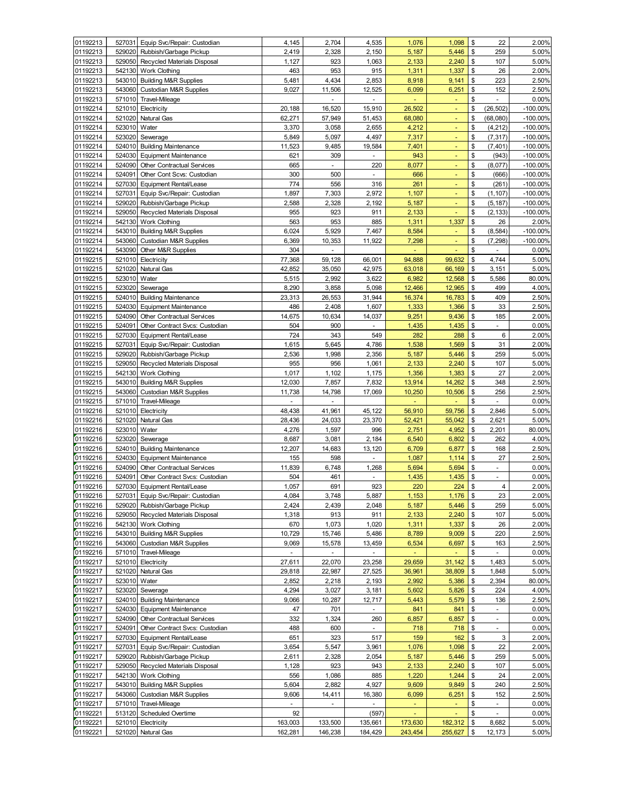| 01192213             | 527031           | Equip Svc/Repair: Custodian                                         | 4,145           | 2,704           | 4,535                 | 1,076           | 1,098          | \$             | 22                                                   | 2.00%                      |
|----------------------|------------------|---------------------------------------------------------------------|-----------------|-----------------|-----------------------|-----------------|----------------|----------------|------------------------------------------------------|----------------------------|
| 01192213             | 529020           | Rubbish/Garbage Pickup                                              | 2,419           | 2,328           | 2,150                 | 5,187           | 5,446          | \$             | 259                                                  | 5.00%                      |
| 01192213             | 529050           | Recycled Materials Disposal                                         | 1,127           | 923             | 1,063                 | 2,133           | 2,240          | \$             | 107                                                  | 5.00%                      |
| 01192213             | 542130           | <b>Work Clothing</b>                                                | 463             | 953             | 915                   | 1,311           | 1,337          | \$             | 26                                                   | 2.00%                      |
| 01192213             | 543010           | <b>Building M&amp;R Supplies</b>                                    | 5,481           | 4,434           | 2,853                 | 8,918           | 9,141          | \$             | 223                                                  | 2.50%                      |
| 01192213             | 543060           | <b>Custodian M&amp;R Supplies</b>                                   | 9,027           | 11,506          | 12,525                | 6,099           | 6,251          | \$             | 152                                                  | 2.50%                      |
| 01192213             | 571010           | Travel-Mileage                                                      |                 |                 |                       |                 | Ξ              | \$             | L                                                    | 0.00%                      |
| 01192214             | 521010           | Electricity                                                         | 20,188          | 16,520          | 15,910                | 26,502          | Ξ              | \$<br>\$       | (26, 502)                                            | $-100.00\%$                |
| 01192214<br>01192214 | 521020<br>523010 | Natural Gas<br>Water                                                | 62,271<br>3,370 | 57,949<br>3,058 | 51,453<br>2,655       | 68,080<br>4,212 |                | \$             | (68,080)<br>(4, 212)                                 | $-100.00\%$<br>$-100.00\%$ |
| 01192214             | 523020           | Sewerage                                                            | 5,849           | 5,097           | 4,497                 | 7,317           | Ξ<br>٠         | \$             | (7, 317)                                             | $-100.00\%$                |
| 01192214             | 524010           | <b>Building Maintenance</b>                                         | 11,523          | 9,485           | 19,584                | 7,401           | ٠              | \$             | (7, 401)                                             | $-100.00\%$                |
| 01192214             | 524030           | <b>Equipment Maintenance</b>                                        | 621             | 309             |                       | 943             |                | \$             | (943)                                                | $-100.00\%$                |
| 01192214             | 524090           | Other Contractual Services                                          | 665             | L.              | 220                   | 8,077           | Ξ              | \$             | (8,077)                                              | $-100.00\%$                |
| 01192214             | 524091           | Other Cont Scvs: Custodian                                          | 300             | 500             | $\omega$              | 666             |                | \$             | (666)                                                | $-100.00\%$                |
| 01192214             | 527030           | Equipment Rental/Lease                                              | 774             | 556             | 316                   | 261             | ä,             | \$             | (261)                                                | $-100.00\%$                |
| 01192214             | 527031           | Equip Svc/Repair: Custodian                                         | 1,897           | 7,303           | 2,972                 | 1,107           | Ξ              | \$             | (1, 107)                                             | $-100.00\%$                |
| 01192214             | 529020           | Rubbish/Garbage Pickup                                              | 2,588           | 2,328           | 2,192                 | 5,187           |                | \$             | (5, 187)                                             | $-100.00\%$                |
| 01192214             | 529050           | Recycled Materials Disposal                                         | 955             | 923             | 911                   | 2,133           |                | \$             | (2, 133)                                             | $-100.00\%$                |
| 01192214             | 542130           | <b>Work Clothing</b>                                                | 563             | 953             | 885                   | 1,311           | 1,337          | \$             | 26                                                   | 2.00%                      |
| 01192214             | 543010           | <b>Building M&amp;R Supplies</b>                                    | 6,024           | 5,929           | 7,467                 | 8,584           | Ξ              | \$             | (8, 584)                                             | $-100.00\%$                |
| 01192214             | 543060           | <b>Custodian M&amp;R Supplies</b>                                   | 6,369           | 10,353          | 11,922                | 7,298           |                | \$             | (7, 298)                                             | $-100.00\%$                |
| 01192214             | 543090           | Other M&R Supplies                                                  | 304             |                 |                       | Ξ               | ٠              | \$             | $\overline{\phantom{a}}$                             | 0.00%                      |
| 01192215             | 521010           | Electricity                                                         | 77,368          | 59,128          | 66,001                | 94,888          | 99,632         | \$             | 4,744                                                | 5.00%                      |
| 01192215             | 521020           | Natural Gas                                                         | 42,852          | 35,050          | 42,975                | 63,018          | 66,169         | \$             | 3,151                                                | 5.00%                      |
| 01192215             | 523010           | Water                                                               | 5,515           | 2,992           | 3,622                 | 6,982           | 12,568         | \$             | 5,586                                                | 80.00%                     |
| 01192215             | 523020           | Sewerage                                                            | 8,290           | 3,858           | 5,098                 | 12,466          | 12,965         | \$             | 499                                                  | 4.00%                      |
| 01192215<br>01192215 | 524010           | <b>Building Maintenance</b>                                         | 23,313          | 26,553          | 31,944                | 16,374          | 16,783         | \$             | 409<br>33                                            | 2.50%                      |
| 01192215             | 524030<br>524090 | <b>Equipment Maintenance</b><br><b>Other Contractual Services</b>   | 486<br>14,675   | 2,408<br>10,634 | 1,607<br>14,037       | 1,333<br>9,251  | 1,366<br>9,436 | \$<br>\$       | 185                                                  | 2.50%<br>2.00%             |
| 01192215             | 524091           | Other Contract Svcs: Custodian                                      | 504             | 900             |                       | 1,435           | 1,435          | \$             | ÷,                                                   | 0.00%                      |
| 01192215             | 527030           | Equipment Rental/Lease                                              | 724             | 343             | 549                   | 282             | 288            | \$             | 6                                                    | 2.00%                      |
| 01192215             | 527031           | Equip Svc/Repair: Custodian                                         | 1,615           | 5,645           | 4,786                 | 1,538           | 1,569          | \$             | 31                                                   | 2.00%                      |
| 01192215             | 529020           | Rubbish/Garbage Pickup                                              | 2,536           | 1,998           | 2,356                 | 5,187           | 5,446          | \$             | 259                                                  | 5.00%                      |
| 01192215             | 529050           | Recycled Materials Disposal                                         | 955             | 956             | 1,061                 | 2,133           | 2,240          | \$             | 107                                                  | 5.00%                      |
| 01192215             | 542130           | Work Clothing                                                       | 1,017           | 1,102           | 1,175                 | 1,356           | 1,383          | \$             | 27                                                   | 2.00%                      |
| 01192215             | 543010           | <b>Building M&amp;R Supplies</b>                                    | 12,030          | 7,857           | 7,832                 | 13,914          | 14,262         | \$             | 348                                                  | 2.50%                      |
| 01192215             | 543060           | Custodian M&R Supplies                                              | 11,738          | 14,798          | 17,069                | 10,250          | 10,506         | \$             | 256                                                  | 2.50%                      |
| 01192215             | 571010           | Travel-Mileage                                                      | ä,              | ÷.              |                       | ä,              | ä,             | \$             | $\blacksquare$                                       | 0.00%                      |
| 01192216             | 521010           | Electricity                                                         | 48,438          | 41,961          | 45,122                | 56,910          | 59,756         | \$             | 2,846                                                | 5.00%                      |
| 01192216             | 521020           | Natural Gas                                                         | 28,436          | 24,033          | 23,370                | 52,421          | 55,042         | \$             | 2,621                                                | 5.00%                      |
| 01192216             | 523010           | Water                                                               | 4,276           | 1,597           | 996                   | 2,751           | 4,952          | \$             | 2,201                                                | 80.00%                     |
| 01192216             | 523020           | Sewerage                                                            | 8,687           | 3,081           | 2,184                 | 6,540           | 6,802          | \$             | 262                                                  | 4.00%                      |
| 01192216             | 524010           | <b>Building Maintenance</b>                                         | 12,207          | 14,683          | 13,120                | 6,709           | 6,877          | \$             | 168                                                  | 2.50%                      |
| 01192216             | 524030<br>524090 | <b>Equipment Maintenance</b>                                        | 155             | 598             |                       | 1,087           | 1,114          | \$<br>\$       | 27                                                   | 2.50%                      |
| 01192216<br>01192216 | 524091           | <b>Other Contractual Services</b><br>Other Contract Svcs: Custodian | 11,839<br>504   | 6,748<br>461    | 1,268                 | 5,694<br>1,435  | 5,694<br>1,435 | \$             | $\overline{\phantom{a}}$<br>$\overline{\phantom{a}}$ | 0.00%<br>0.00%             |
| 01192216             | 527030           | Equipment Rental/Lease                                              | 1,057           | 691             | 923                   | 220             | 224            | \$             | 4                                                    | 2.00%                      |
| 01192216             | 527031           | Equip Svc/Repair: Custodian                                         | 4,084           | 3,748           | 5,887                 | 1.153           | 1,176          | \$             | 23                                                   | 2.00%                      |
| 01192216             | 529020           | Rubbish/Garbage Pickup                                              | 2,424           | 2,439           | 2,048                 | 5,187           | 5,446          | \$             | 259                                                  | 5.00%                      |
| 01192216             | 529050           | Recycled Materials Disposal                                         | 1,318           | 913             | 911                   | 2,133           | 2,240          | \$             | 107                                                  | 5.00%                      |
| 01192216             | 542130           | <b>Work Clothing</b>                                                | 670             | 1,073           | 1,020                 | 1,311           | 1,337          | \$             | 26                                                   | 2.00%                      |
| 01192216             | 543010           | <b>Building M&amp;R Supplies</b>                                    | 10,729          | 15,746          | 5,486                 | 8,789           | 9,009          | \$             | 220                                                  | 2.50%                      |
| 01192216             | 543060           | <b>Custodian M&amp;R Supplies</b>                                   | 9,069           | 15,578          | 13,459                | 6,534           | 6,697          | \$             | 163                                                  | 2.50%                      |
| 01192216             | 571010           | Travel-Mileage                                                      | ä,              | ÷,              | ÷.                    | ÷.              |                | \$             | $\blacksquare$                                       | 0.00%                      |
| 01192217             | 521010           | Electricity                                                         | 27,611          | 22,070          | 23,258                | 29,659          | 31,142         | \$             | 1,483                                                | 5.00%                      |
| 01192217             | 521020           | Natural Gas                                                         | 29,818          | 22,987          | 27,525                | 36,961          | 38,809         | \$             | 1,848                                                | 5.00%                      |
| 01192217             | 523010           | Water                                                               | 2,852           | 2,218           | 2,193                 | 2,992           | 5,386          | \$             | 2,394                                                | 80.00%                     |
| 01192217             | 523020           | Sewerage                                                            | 4,294           | 3,027           | 3,181                 | 5,602           | 5,826          | \$             | 224                                                  | 4.00%                      |
| 01192217             | 524010           | <b>Building Maintenance</b>                                         | 9,066           | 10,287          | 12,717                | 5,443           | 5,579          | \$             | 136                                                  | 2.50%                      |
| 01192217             | 524030           | <b>Equipment Maintenance</b>                                        | 47              | 701             | $\blacksquare$        | 841             | 841            | \$             | $\blacksquare$                                       | 0.00%                      |
| 01192217<br>01192217 | 524090<br>524091 | <b>Other Contractual Services</b>                                   | 332             | 1,324           | 260<br>$\blacksquare$ | 6,857<br>718    | 6,857          | \$<br>\$       | $\blacksquare$<br>$\blacksquare$                     | 0.00%                      |
| 01192217             | 527030           | Other Contract Svcs: Custodian<br>Equipment Rental/Lease            | 488<br>651      | 600<br>323      | 517                   | 159             | 718<br>162     | \$             | 3                                                    | 0.00%<br>2.00%             |
| 01192217             | 527031           | Equip Svc/Repair: Custodian                                         | 3,654           | 5,547           | 3,961                 | 1,076           | 1,098          | \$             | 22                                                   | 2.00%                      |
| 01192217             | 529020           | Rubbish/Garbage Pickup                                              | 2,611           | 2,328           | 2,054                 | 5,187           | 5,446          | $\mathfrak{S}$ | 259                                                  | 5.00%                      |
| 01192217             | 529050           | Recycled Materials Disposal                                         | 1,128           | 923             | 943                   | 2,133           | 2,240          | \$             | 107                                                  | 5.00%                      |
| 01192217             | 542130           | Work Clothing                                                       | 556             | 1,086           | 885                   | 1,220           | 1,244          | \$             | 24                                                   | 2.00%                      |
| 01192217             | 543010           | <b>Building M&amp;R Supplies</b>                                    | 5,604           | 2,882           | 4,927                 | 9,609           | 9,849          | \$             | 240                                                  | 2.50%                      |
| 01192217             | 543060           | Custodian M&R Supplies                                              | 9,606           | 14,411          | 16,380                | 6,099           | 6,251          | \$             | 152                                                  | 2.50%                      |
| 01192217             | 571010           | Travel-Mileage                                                      |                 | ٠               |                       | ÷               | ٠              | \$             | $\overline{\phantom{a}}$                             | 0.00%                      |
| 01192221             | 513120           | Scheduled Overtime                                                  | 92              |                 | (597)                 | ٠               |                | \$             | $\overline{\phantom{a}}$                             | 0.00%                      |
| 01192221             | 521010           | Electricity                                                         | 163,003         | 133,500         | 135,661               | 173,630         | 182,312        | \$             | 8,682                                                | 5.00%                      |
| 01192221             | 521020           | Natural Gas                                                         | 162,281         | 146,238         | 184,429               | 243,454         | 255,627        | \$             | 12,173                                               | 5.00%                      |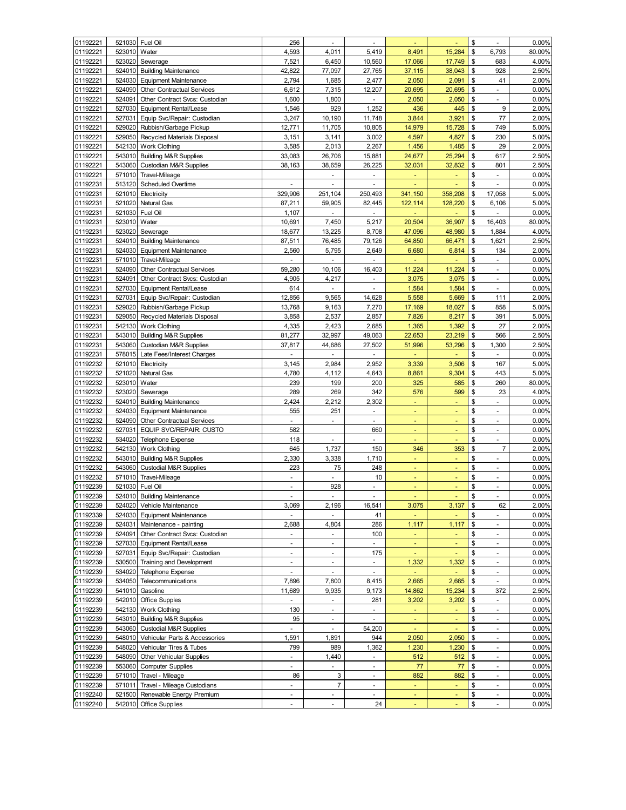| 01192221             | 521030           | Fuel Oil                                             | 256                      | ä,             |                          |                |                                       | \$       | ÷,                       | 0.00%             |
|----------------------|------------------|------------------------------------------------------|--------------------------|----------------|--------------------------|----------------|---------------------------------------|----------|--------------------------|-------------------|
| 01192221             | 523010           | Water                                                | 4,593                    | 4,011          | 5,419                    | 8,491          | 15,284                                | \$       | 6,793                    | 80.00%            |
| 01192221             | 523020           | Sewerage                                             | 7,521                    | 6,450          | 10,560                   | 17,066         | 17,749                                | \$       | 683                      | 4.00%             |
| 01192221             | 524010           | <b>Building Maintenance</b>                          | 42,822                   | 77,097         | 27,765                   | 37,115         | 38,043                                | \$       | 928                      | 2.50%             |
| 01192221             | 524030           | <b>Equipment Maintenance</b>                         | 2,794                    | 1,685          | 2,477                    | 2,050          | 2,091                                 | \$       | 41                       | 2.00%             |
| 01192221             | 524090           | Other Contractual Services                           | 6,612                    | 7,315          | 12,207                   | 20,695         | 20,695                                | \$       | ÷                        | 0.00%             |
| 01192221             | 524091           | Other Contract Svcs: Custodian                       | 1,600                    | 1,800          | $\blacksquare$           | 2,050          | 2,050                                 | \$       | ٠                        | 0.00%             |
| 01192221             | 527030           | <b>Equipment Rental/Lease</b>                        | 1,546                    | 929            | 1,252                    | 436            | 445                                   | \$       | 9                        | 2.00%             |
| 01192221             | 527031           | Equip Svc/Repair: Custodian                          | 3,247                    | 10,190         | 11,748                   | 3,844          | 3,921                                 | \$       | 77                       | 2.00%             |
| 01192221             | 529020           | Rubbish/Garbage Pickup                               | 12,771                   | 11,705         | 10,805                   | 14,979         | 15,728                                | \$       | 749                      | 5.00%             |
| 01192221             | 529050           | Recycled Materials Disposal                          | 3,151                    | 3,141          | 3,002                    | 4,597          | 4,827                                 | \$       | 230                      | 5.00%             |
| 01192221             | 542130           | <b>Work Clothing</b>                                 | 3,585                    | 2,013          | 2,267                    | 1,456          | 1,485                                 | \$       | 29                       | 2.00%             |
| 01192221             | 543010           | <b>Building M&amp;R Supplies</b>                     | 33,083                   | 26,706         | 15,881                   | 24,677         | 25,294                                | \$       | 617                      | 2.50%             |
| 01192221             | 543060           | <b>Custodian M&amp;R Supplies</b>                    | 38,163                   | 38,659         | 26,225                   | 32,031         | 32,832                                | \$       | 801                      | 2.50%             |
| 01192221             | 571010           | Travel-Mileage                                       |                          |                |                          |                |                                       | \$       | ÷                        | 0.00%             |
| 01192231             | 513120           | <b>Scheduled Overtime</b>                            | L,                       |                | L.                       |                |                                       | \$       | ÷,                       | 0.00%             |
| 01192231             | 521010           | Electricity                                          | 329,906                  | 251,104        | 250,493                  | 341,150        | 358,208                               | \$       | 17,058                   | 5.00%             |
| 01192231             | 521020           | Natural Gas                                          | 87,211                   | 59,905         | 82,445                   | 122,114        | 128,220                               | \$       | 6,106                    | 5.00%             |
| 01192231             | 521030           | Fuel Oil                                             | 1,107                    |                | $\blacksquare$           | Ξ              |                                       | \$       |                          | 0.00%             |
| 01192231             | 523010           | Water                                                | 10,691                   | 7,450          | 5,217                    | 20,504         | 36,907                                | \$       | 16,403                   | 80.00%            |
| 01192231             | 523020           | Sewerage                                             | 18,677                   | 13,225         | 8,708                    | 47,096         | 48,980                                | \$       | 1,884                    | 4.00%             |
| 01192231             | 524010           | <b>Building Maintenance</b>                          | 87,511                   | 76,485         | 79,126                   | 64,850         | 66,471                                | \$       | 1,621                    | 2.50%             |
| 01192231             | 524030           | <b>Equipment Maintenance</b>                         | 2,560                    | 5,795          | 2,649                    | 6,680          | 6,814                                 | \$       | 134                      | 2.00%             |
| 01192231             | 571010           | Travel-Mileage                                       | $\blacksquare$           | ÷,             | $\omega$                 | ä,             | L.                                    | \$       | $\omega$                 | 0.00%             |
| 01192231             | 524090           | Other Contractual Services                           | 59,280                   | 10,106         | 16,403                   | 11,224         | 11,224                                | \$       | $\blacksquare$           | 0.00%             |
| 01192231             | 524091           | Other Contract Svcs: Custodian                       | 4,905                    | 4,217          | $\blacksquare$           | 3,075          | 3,075                                 | \$       | $\blacksquare$           | 0.00%             |
| 01192231             | 527030           | <b>Equipment Rental/Lease</b>                        | 614                      |                |                          |                |                                       | \$       |                          | 0.00%             |
|                      | 527031           |                                                      | 12,856                   |                |                          | 1,584          | 1,584                                 | \$       | $\blacksquare$           | 2.00%             |
| 01192231             |                  | Equip Svc/Repair: Custodian                          |                          | 9,565          | 14,628                   | 5,558          | 5,669                                 |          | 111                      |                   |
| 01192231             | 529020           | Rubbish/Garbage Pickup                               | 13,768                   | 9,163          | 7,270                    | 17,169         | 18,027                                | \$       | 858                      | 5.00%             |
| 01192231             | 529050           | Recycled Materials Disposal                          | 3,858                    | 2,537          | 2,857                    | 7,826          | 8,217                                 | \$       | 391                      | 5.00%             |
| 01192231             | 542130           | <b>Work Clothing</b>                                 | 4,335                    | 2,423          | 2,685                    | 1,365          | 1,392                                 | \$       | 27                       | 2.00%             |
| 01192231             | 543010           | <b>Building M&amp;R Supplies</b>                     | 81,277                   | 32,997         | 49,063                   | 22,653         | 23,219                                | \$       | 566                      | 2.50%             |
| 01192231             | 543060           | Custodian M&R Supplies                               | 37,817                   | 44,686         | 27,502                   | 51,996         | 53,296                                | \$       | 1,300                    | 2.50%             |
| 01192231             | 578015           | Late Fees/Interest Charges                           | ä,                       | ٠              | ä,                       |                |                                       | \$       | $\blacksquare$           | 0.00%             |
| 01192232             | 521010           | Electricity                                          | 3,145                    | 2,984          | 2,952                    | 3,339          | 3,506                                 | \$       | 167                      | 5.00%             |
| 01192232             | 521020           | Natural Gas                                          | 4,780                    | 4,112          | 4,643                    | 8,861          | 9,304                                 | \$       | 443                      | 5.00%             |
| 01192232             | 523010           | Water                                                | 239                      | 199            | 200                      | 325            | 585                                   | \$       | 260                      | 80.00%            |
| 01192232             | 523020           | Sewerage                                             | 289                      | 269            | 342                      | 576            | 599                                   | \$       | 23                       | 4.00%             |
| 01192232             | 524010           | <b>Building Maintenance</b>                          | 2,424                    | 2,212          | 2,302                    | Ξ              |                                       | \$       | ä,                       | 0.00%             |
| 01192232             | 524030           | <b>Equipment Maintenance</b>                         | 555                      | 251            |                          |                |                                       | \$       | ÷                        | 0.00%             |
| 01192232             | 524090           | Other Contractual Services                           | ÷,                       | ÷,             | $\blacksquare$           | ٠              | Ξ                                     | \$       | ÷                        | 0.00%             |
| 01192232             | 527031           | EQUIP SVC/REPAIR: CUSTO                              | 582                      |                | 660                      |                |                                       | \$       | $\overline{\phantom{a}}$ | 0.00%             |
| 01192232             | 534020           | Telephone Expense                                    |                          |                |                          |                |                                       |          | $\blacksquare$           | 0.00%             |
| 01192232             |                  |                                                      | 118                      |                | $\blacksquare$           |                |                                       | \$       |                          |                   |
| 01192232             | 542130           | <b>Work Clothing</b>                                 | 645                      | 1,737          | 150                      | 346            | 353                                   | \$       | $\overline{7}$           | 2.00%             |
|                      | 543010           | <b>Building M&amp;R Supplies</b>                     | 2,330                    | 3,338          | 1,710                    | Ξ              | ٠                                     | \$       | $\blacksquare$           | 0.00%             |
| 01192232             | 543060           | Custodial M&R Supplies                               | 223                      | 75             | 248                      |                |                                       | \$       | $\blacksquare$           | 0.00%             |
| 01192232             | 571010           | Travel-Mileage                                       | ä,                       | ä,             | 10                       | ä,             | ä,                                    | \$       | $\omega$                 | 0.00%             |
| 01192239             | 521030           | Fuel Oil                                             | $\blacksquare$           | 928            | ä,                       | Ξ              | ä,                                    | \$       | $\blacksquare$           | 0.00%             |
| 01192239             |                  | 524010 Building Maintenance                          |                          |                |                          |                |                                       | \$       |                          | 0.00%             |
| 01192239             | 524020           | Vehicle Maintenance                                  | 3,069                    | 2,196          | 16,541                   | 3,075          | 3,137                                 | \$       | 62                       | 2.00%             |
| 01192339             | 524030           | <b>Equipment Maintenance</b>                         |                          |                | 41                       | ÷              |                                       | \$       | ÷                        | 0.00%             |
| 01192239             | 524031           | Maintenance - painting                               | 2,688                    | 4,804          | 286                      | 1,117          | 1,117                                 | \$       | ÷                        | 0.00%             |
| 01192239             | 524091           | Other Contract Svcs: Custodian                       | $\blacksquare$           | ÷,             | 100                      | ÷              | ٠                                     | \$       | $\blacksquare$           | 0.00%             |
| 01192239             | 527030           | <b>Equipment Rental/Lease</b>                        | $\overline{\phantom{a}}$ | ÷              | $\blacksquare$           | ٠              | $\blacksquare$                        | \$       | $\blacksquare$           | 0.00%             |
| 01192239             | 527031           | Equip Svc/Repair: Custodian                          | ÷,                       | ÷,             | 175                      | ٠              | ٠                                     | \$       | $\blacksquare$           | 0.00%             |
|                      | 530500           |                                                      | $\blacksquare$           | $\blacksquare$ | $\overline{\phantom{a}}$ |                |                                       | \$       | $\blacksquare$           | 0.00%             |
| 01192239<br>01192239 | 534020           | Training and Development<br><b>Telephone Expense</b> | $\overline{\phantom{a}}$ | ۰              | $\overline{\phantom{a}}$ | 1,332<br>٠     | 1,332<br>$\qquad \qquad \blacksquare$ | \$       | $\sim$                   |                   |
|                      | 534050           |                                                      |                          |                |                          |                |                                       |          | $\blacksquare$           | 0.00%             |
| 01192239             |                  | Telecommunications                                   | 7,896                    | 7,800          | 8,415                    | 2,665          | 2,665                                 | \$       |                          | 0.00%             |
| 01192239             | 541010           | Gasoline                                             | 11,689                   | 9,935          | 9,173                    | 14,862         | 15,234                                | \$       | 372                      | 2.50%             |
| 01192239             | 542010           | Office Supples                                       | $\blacksquare$           | ä,             | 281                      | 3,202          | 3,202                                 | \$       | $\omega_{\rm c}$         | 0.00%             |
| 01192239             | 542130           | <b>Work Clothing</b>                                 | 130                      | ÷,             | $\blacksquare$           |                |                                       | \$       | $\omega$                 | 0.00%             |
| 01192239             | 543010           | <b>Building M&amp;R Supplies</b>                     | 95                       | ÷.             | ÷.                       |                |                                       | \$       | $\omega$                 | 0.00%             |
| 01192239             | 543060           | <b>Custodial M&amp;R Supplies</b>                    | $\blacksquare$           | ÷,             | 54,200                   | ÷              | Ξ                                     | \$       | $\blacksquare$           | 0.00%             |
| 01192239             | 548010           | Vehicular Parts & Accessories                        | 1,591                    | 1,891          | 944                      | 2,050          | 2,050                                 | \$       | $\blacksquare$           | 0.00%             |
| 01192239             | 548020           | Vehicular Tires & Tubes                              | 799                      | 989            | 1,362                    | 1,230          | 1,230                                 | \$       | $\overline{\phantom{a}}$ | 0.00%             |
| 01192239             | 548090           | <b>Other Vehicular Supplies</b>                      | $\overline{\phantom{a}}$ | 1,440          | $\overline{\phantom{a}}$ | 512            | 512                                   | \$       | $\blacksquare$           | 0.00%             |
| 01192239             | 553060           | <b>Computer Supplies</b>                             | $\blacksquare$           |                | $\overline{\phantom{a}}$ | 77             | 77                                    | \$       | $\blacksquare$           | 0.00%             |
| 01192239             | 571010           | Travel - Mileage                                     | 86                       | 3              | $\blacksquare$           | 882            | 882                                   | \$       | $\blacksquare$           | 0.00%             |
| 01192239             | 571011           | Travel - Mileage Custodians                          | $\blacksquare$           | $\overline{7}$ | $\blacksquare$           | $\blacksquare$ | ٠                                     | \$       | $\sim$                   | 0.00%             |
| 01192240<br>01192240 | 521500<br>542010 | Renewable Energy Premium<br><b>Office Supplies</b>   | $\blacksquare$<br>ä,     | ÷,             | ä,<br>24                 | Ξ              | Ξ                                     | \$<br>\$ | $\sim$<br>$\blacksquare$ | 0.00%<br>$0.00\%$ |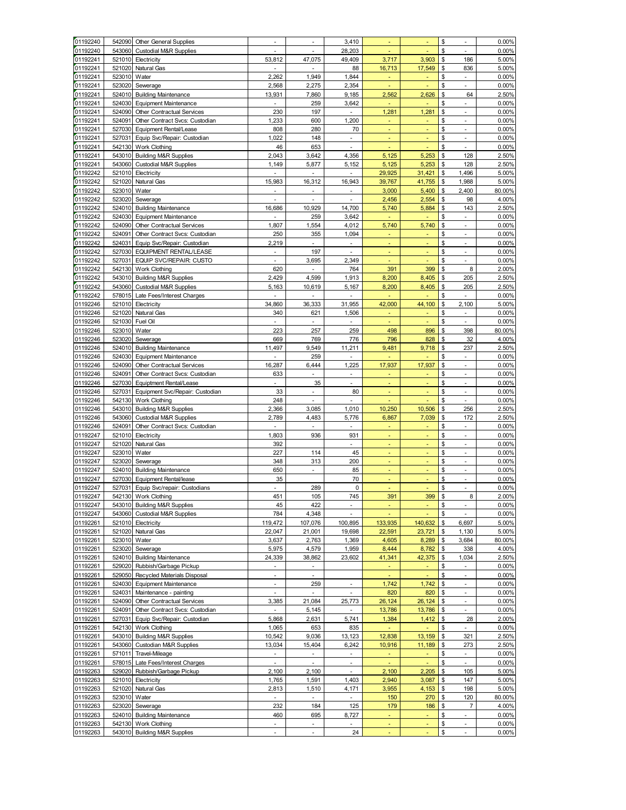|          | 542090       | <b>Other General Supplies</b>     |                                   |                          | 3,410                    |                |         | \$  | $\sim$                   | 0.00%    |
|----------|--------------|-----------------------------------|-----------------------------------|--------------------------|--------------------------|----------------|---------|-----|--------------------------|----------|
| 01192240 | 543060       | <b>Custodial M&amp;R Supplies</b> | Ĭ.                                |                          | 28,203                   |                |         | \$  | ä,                       | 0.00%    |
| 01192241 | 521010       | Electricity                       | 53,812                            | 47,075                   | 49,409                   | 3,717          | 3,903   | \$  | 186                      | 5.00%    |
| 01192241 | 521020       | Natural Gas                       | $\overline{\phantom{a}}$          | $\overline{\phantom{a}}$ | 88                       | 16,713         | 17,549  | \$  | 836                      | 5.00%    |
| 01192241 | 523010       | Water                             | 2,262                             | 1,949                    | 1,844                    | ٠              |         | \$  | $\blacksquare$           | 0.00%    |
| 01192241 | 523020       | Sewerage                          | 2,568                             | 2,275                    | 2,354                    |                |         | \$  | ä,                       | 0.00%    |
| 01192241 | 524010       | <b>Building Maintenance</b>       | 13,931                            | 7,860                    | 9,185                    | 2,562          | 2,626   | \$  | 64                       | 2.50%    |
|          | 524030       |                                   |                                   |                          |                          | ÷,             |         | \$. | $\mathbf{r}$             |          |
| 01192241 |              | <b>Equipment Maintenance</b>      |                                   | 259                      | 3,642                    |                |         |     |                          | 0.00%    |
| 01192241 | 524090       | Other Contractual Services        | 230                               | 197                      | ÷                        | 1,281          | 1,281   | \$  | $\overline{\phantom{a}}$ | 0.00%    |
| 01192241 | 524091       | Other Contract Svcs: Custodian    | 1,233                             | 600                      | 1,200                    | $\blacksquare$ | ٠       | \$  | $\sim$                   | 0.00%    |
| 01192241 | 527030       | Equipment Rental/Lease            | 808                               | 280                      | 70                       | ٠              |         | \$  | $\overline{\phantom{a}}$ | 0.00%    |
| 01192241 | 527031       | Equip Svc/Repair: Custodian       | 1,022                             | 148                      | ÷,                       | ä,             | ÷       | \$  | ä,                       | 0.00%    |
| 01192241 | 542130       | Work Clothing                     | 46                                | 653                      |                          |                |         | \$  | $\mathbf{r}$             | 0.00%    |
| 01192241 | 543010       | <b>Building M&amp;R Supplies</b>  | 2,043                             | 3,642                    | 4,356                    | 5,125          | 5,253   | \$  | 128                      | 2.50%    |
| 01192241 | 543060       | <b>Custodial M&amp;R Supplies</b> | 1,149                             | 5,877                    | 5,152                    | 5,125          | 5,253   | \$  | 128                      | 2.50%    |
| 01192242 | 521010       | Electricity                       | $\sim$                            | $\overline{\phantom{a}}$ | ÷                        | 29,925         | 31,421  | \$  | 1,496                    | 5.00%    |
| 01192242 | 521020       | Natural Gas                       | 15,983                            | 16,312                   | 16,943                   | 39,767         | 41,755  | \$  | 1,988                    | 5.00%    |
| 01192242 | 523010       | Water                             | $\overline{\phantom{a}}$          | $\overline{\phantom{a}}$ | $\frac{1}{2}$            | 3,000          | 5,400   | \$  | 2,400                    | 80.00%   |
| 01192242 | 523020       | Sewerage                          |                                   |                          | ÷,                       | 2,456          | 2,554   | \$  | 98                       | 4.00%    |
| 01192242 | 524010       | <b>Building Maintenance</b>       | 16,686                            | 10,929                   | 14,700                   | 5,740          | 5,884   | \$  | 143                      | 2.50%    |
| 01192242 | 524030       | <b>Equipment Maintenance</b>      |                                   | 259                      | 3,642                    |                |         | \$  | $\mathbf{r}$             | 0.00%    |
| 01192242 | 524090       | Other Contractual Services        | 1,807                             | 1,554                    | 4,012                    | 5,740          | 5,740   | \$  | $\mathcal{L}$            | 0.00%    |
| 01192242 | 524091       | Other Contract Svcs: Custodian    | 250                               | 355                      | 1,094                    | ÷              |         | \$  | $\overline{\phantom{a}}$ | 0.00%    |
|          | 524031       |                                   |                                   |                          |                          |                |         |     |                          |          |
| 01192242 |              | Equip Svc/Repair: Custodian       | 2,219                             | $\overline{\phantom{a}}$ | $\overline{\phantom{a}}$ | $\blacksquare$ | ٠       | \$  | $\blacksquare$           | 0.00%    |
| 01192242 | 527030       | EQUIPMENT RENTAL/LEASE            |                                   | 197                      | $\overline{a}$           |                |         | \$  | $\overline{\phantom{a}}$ | 0.00%    |
| 01192242 | 527031       | EQUIP SVC/REPAIR: CUSTO           | ÷,                                | 3,695                    | 2,349                    |                |         | \$  | $\overline{\phantom{a}}$ | 0.00%    |
| 01192242 | 542130       | Work Clothing                     | 620                               |                          | 764                      | 391            | 399     | \$  | 8                        | 2.00%    |
| 01192242 | 543010       | <b>Building M&amp;R Supplies</b>  | 2,429                             | 4,599                    | 1,913                    | 8,200          | 8,405   | \$  | 205                      | 2.50%    |
| 01192242 | 543060       | <b>Custodial M&amp;R Supplies</b> | 5,163                             | 10,619                   | 5,167                    | 8,200          | 8,405   | \$  | 205                      | 2.50%    |
| 01192242 | 578015       | Late Fees/Interest Charges        | $\overline{\phantom{a}}$          | $\overline{\phantom{a}}$ | $\overline{\phantom{a}}$ | ÷,             | ٠       | \$  | $\blacksquare$           | 0.00%    |
| 01192246 | 521010       | Electricity                       | 34,860                            | 36,333                   | 31,955                   | 42,000         | 44,100  | \$  | 2,100                    | 5.00%    |
| 01192246 | 521020       | Natural Gas                       | 340                               | 621                      | 1,506                    | ä,             | ٠       | \$  | ä,                       | 0.00%    |
| 01192246 | 521030       | Fuel Oil                          |                                   |                          |                          |                |         | \$  | ÷                        | 0.00%    |
| 01192246 | 523010       | Water                             | 223                               | 257                      | 259                      | 498            | 896     | \$  | 398                      | 80.00%   |
| 01192246 | 523020       | Sewerage                          | 669                               | 769                      | 776                      | 796            | 828     | \$  | 32                       | 4.00%    |
| 01192246 | 524010       | <b>Building Maintenance</b>       | 11,497                            | 9,549                    | 11,211                   | 9,481          | 9,718   | \$  | 237                      | 2.50%    |
| 01192246 | 524030       | <b>Equipment Maintenance</b>      | $\overline{\phantom{a}}$          | 259                      | ٠                        | ÷              |         | \$  | $\blacksquare$           | 0.00%    |
| 01192246 | 524090       | Other Contractual Services        | 16,287                            | 6,444                    | 1,225                    | 17,937         | 17,937  | \$  | $\overline{\phantom{a}}$ | 0.00%    |
| 01192246 | 524091       | Other Contract Svcs: Custodian    | 633                               |                          |                          |                |         | \$  | $\overline{\phantom{a}}$ | 0.00%    |
|          |              |                                   |                                   |                          | ä,                       | ä,             |         | \$  | ÷                        |          |
| 01192246 | 527030       | Equiptment Rental/Lease           |                                   | 35                       |                          |                |         |     |                          | 0.00%    |
| 01192246 | 527031       | Equipment Svc/Repair: Custodian   | 33                                | ÷,                       | 80                       | ÷,             |         | \$  | $\mathbf{r}$             | 0.00%    |
| 01192246 | 542130       | <b>Work Clothing</b>              | 248                               | ÷,                       | ä,                       |                |         | \$  | $\mathbf{r}$             | 0.00%    |
| 01192246 |              | 543010 Building M&R Supplies      | 2,366                             | 3,085                    | 1,010                    | 10,250         | 10,506  | \$  | 256                      | 2.50%    |
| 01192246 | 543060       | <b>Custodial M&amp;R Supplies</b> | 2,789                             | 4,483                    | 5,776                    | 6,867          | 7,039   | \$  | 172                      | 2.50%    |
| 01192246 | 524091       | Other Contract Svcs: Custodian    |                                   |                          |                          | ä,             | ÷.      | \$  | ÷,                       | 0.00%    |
| 01192247 | 521010       | Electricity                       |                                   |                          |                          |                |         |     |                          | 0.00%    |
| 01192247 |              |                                   | 1,803                             | 936                      | 931                      |                |         | \$  | $\blacksquare$           |          |
|          | 521020       | Natural Gas                       | 392                               |                          |                          |                |         | \$  | ÷                        | 0.00%    |
| 01192247 | 523010       | Water                             | 227                               | 114                      | 45                       |                |         | \$  | $\mathbf{r}$             | 0.00%    |
| 01192247 | 523020       |                                   | 348                               | 313                      | 200                      |                |         | \$  | $\blacksquare$           |          |
|          |              | Sewerage                          |                                   |                          |                          |                | ٠       |     | $\blacksquare$           | 0.00%    |
| 01192247 |              | 524010 Building Maintenance       | 650                               | $\blacksquare$           | 85                       | ÷<br>٠         |         | \$  |                          | 0.00%    |
| 01192247 | 527030       | Equipment Rental/lease            | 35                                |                          | 70                       |                |         | \$  | $\blacksquare$           | 0.00%    |
| 01192247 | 527031       | Equip Svc/repair: Custodians      |                                   | 289                      | $\pmb{0}$                |                |         | \$  | ÷,                       | 0.00%    |
| 01192247 |              | 542130 Work Clothing              | 451                               | 105                      | 745                      | 391            | 399     | \$  | 8                        | 2.00%    |
| 01192247 |              | 543010 Building M&R Supplies      | 45                                | 422                      | ÷,                       |                |         | \$  | $\sim$                   | 0.00%    |
| 01192247 | 543060       | Custodial M&R Supplies            | 784                               | 4,348                    | L.                       | L,             |         | \$  | $\overline{\phantom{a}}$ | 0.00%    |
| 01192261 | 521010       | Electricity                       | 119,472                           | 107,076                  | 100,895                  | 133,935        | 140,632 | \$  | 6,697                    | 5.00%    |
| 01192261 | 521020       | Natural Gas                       | 22,047                            | 21,001                   | 19,698                   | 22,591         | 23,721  | \$  | 1,130                    | 5.00%    |
| 01192261 | 523010       | Water                             | 3,637                             | 2,763                    | 1,369                    | 4,605          | 8,289   | \$  | 3,684                    | 80.00%   |
| 01192261 | 523020       | Sewerage                          | 5,975                             | 4,579                    | 1,959                    | 8,444          | 8,782   | \$  | 338                      | 4.00%    |
| 01192261 | 524010       | <b>Building Maintenance</b>       | 24,339                            | 38,862                   | 23,602                   | 41,341         | 42,375  | \$  | 1,034                    | 2.50%    |
| 01192261 | 529020       | Rubbish/Garbage Pickup            | $\overline{\phantom{a}}$          |                          |                          |                |         | \$  | $\overline{\phantom{a}}$ | 0.00%    |
| 01192261 | 529050       | Recycled Materials Disposal       | $\mathcal{L}_{\mathcal{A}}$       | ÷.                       |                          | ä,             |         | \$  | $\mathbb{Z}^+$           | 0.00%    |
| 01192261 | 524030       | <b>Equipment Maintenance</b>      | $\overline{\phantom{a}}$          | 259                      | $\blacksquare$           | 1,742          | 1,742   | \$  | $\sim$                   | $0.00\%$ |
| 01192261 | 524031       | Maintenance - painting            | $\Box$                            | ÷,                       | $\overline{\phantom{a}}$ | 820            | 820     | \$  | $\overline{\phantom{a}}$ | 0.00%    |
| 01192261 | 524090       | Other Contractual Services        |                                   | 21,084                   | 25,773                   | 26,124         | 26,124  | \$  | $\blacksquare$           | 0.00%    |
| 01192261 | 524091       | Other Contract Svcs: Custodian    | 3,385<br>$\overline{\phantom{a}}$ | 5,145                    | $\blacksquare$           | 13,786         |         | \$  | $\blacksquare$           | 0.00%    |
|          |              |                                   |                                   |                          |                          |                | 13,786  |     |                          |          |
| 01192261 | 527031       | Equip Svc/Repair: Custodian       | 5,868                             | 2,631                    | 5,741                    | 1,384          | 1,412   | \$  | 28<br>$\mathbf{r}$       | 2.00%    |
| 01192261 | 542130       | Work Clothing                     | 1,065                             | 653                      | 835                      | $\omega$       |         | \$  |                          | 0.00%    |
| 01192261 | 543010       | <b>Building M&amp;R Supplies</b>  | 10,542                            | 9,036                    | 13,123                   | 12,838         | 13,159  | \$  | 321                      | 2.50%    |
| 01192261 | 543060       | Custodian M&R Supplies            | 13,034                            | 15,404                   | 6,242                    | 10,916         | 11,189  | \$  | 273                      | 2.50%    |
| 01192261 | 571011       | Travel-Mileage                    | $\overline{\phantom{a}}$          | $\overline{\phantom{a}}$ | ÷,                       | ٠              | ٠       | \$  | $\blacksquare$           | 0.00%    |
| 01192261 | 578015       | Late Fees/Interest Charges        | $\overline{\phantom{a}}$          | $\blacksquare$           | ÷,                       |                |         | \$  | $\blacksquare$           | 0.00%    |
| 01192263 | 529020       | Rubbish/Garbage Pickup            | 2,100                             | 2,100                    | ÷.                       | 2,100          | 2,205   | \$  | 105                      | 5.00%    |
| 01192263 | 521010       | Electricity                       | 1,765                             | 1,591                    | 1,403                    | 2,940          | 3,087   | \$  | 147                      | 5.00%    |
| 01192263 | 521020       | Natural Gas                       | 2,813                             | 1,510                    | 4,171                    | 3,955          | 4,153   | \$  | 198                      | 5.00%    |
| 01192263 | 523010 Water |                                   | $\overline{\phantom{a}}$          | ٠                        | ÷,                       | 150            | 270     | \$  | 120                      | 80.00%   |
| 01192263 | 523020       | Sewerage                          | 232                               | 184                      | 125                      | 179            | 186     | \$  | 7                        | 4.00%    |
| 01192263 | 524010       | <b>Building Maintenance</b>       | 460                               | 695                      | 8,727                    | Ξ              | ÷.      | \$  | L,                       | 0.00%    |
| 01192263 | 542130       | Work Clothing                     |                                   |                          |                          |                |         | \$  | $\blacksquare$           | 0.00%    |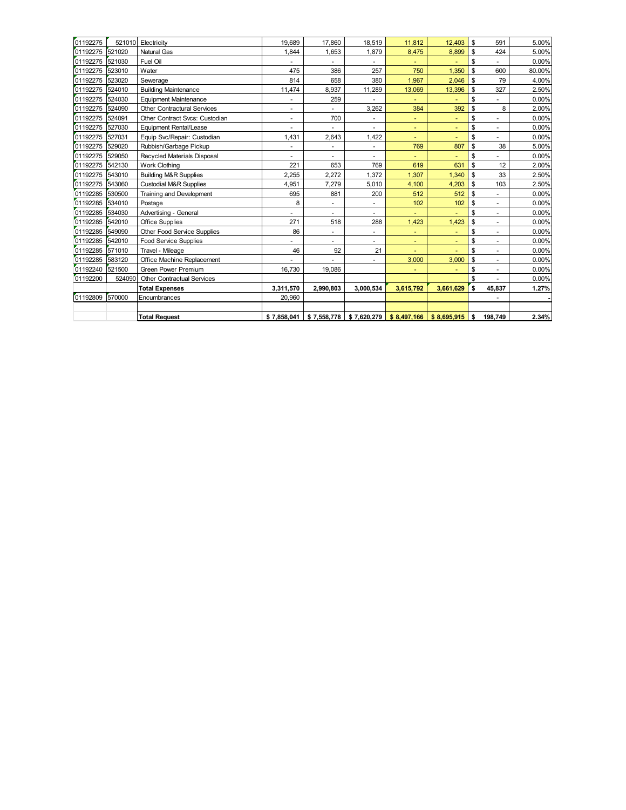| 01192275        | 521010 | Electricity                        | 19.689                       | 17,860                       | 18.519                   | 11,812      | 12.403      | \$ | 591                      | 5.00%  |
|-----------------|--------|------------------------------------|------------------------------|------------------------------|--------------------------|-------------|-------------|----|--------------------------|--------|
| 01192275        | 521020 | <b>Natural Gas</b>                 | 1.844                        | 1,653                        | 1,879                    | 8,475       | 8,899       | \$ | 424                      | 5.00%  |
| 01192275        | 521030 | Fuel Oil                           | $\overline{\phantom{a}}$     | $\qquad \qquad \blacksquare$ | $\overline{\phantom{a}}$ | ٠           |             | \$ | $\blacksquare$           | 0.00%  |
| 01192275        | 523010 | Water                              | 475                          | 386                          | 257                      | 750         | 1,350       | \$ | 600                      | 80.00% |
| 01192275        | 523020 | Sewerage                           | 814                          | 658                          | 380                      | 1,967       | 2,046       | \$ | 79                       | 4.00%  |
| 01192275        | 524010 | <b>Building Maintenance</b>        | 11,474                       | 8,937                        | 11,289                   | 13,069      | 13,396      | \$ | 327                      | 2.50%  |
| 01192275        | 524030 | <b>Equipment Maintenance</b>       | $\overline{\phantom{a}}$     | 259                          | ٠                        | ٠           |             | \$ | $\frac{1}{2}$            | 0.00%  |
| 01192275        | 524090 | <b>Other Contractural Services</b> | ٠                            | $\qquad \qquad \blacksquare$ | 3,262                    | 384         | 392         | \$ | 8                        | 2.00%  |
| 01192275        | 524091 | Other Contract Svcs: Custodian     | ۰                            | 700                          |                          | ٠           |             | \$ | ٠                        | 0.00%  |
| 01192275        | 527030 | <b>Equipment Rental/Lease</b>      | $\blacksquare$               | ٠                            | $\overline{\phantom{a}}$ | ٠           | ٠           | \$ | $\overline{\phantom{a}}$ | 0.00%  |
| 01192275        | 527031 | Equip Svc/Repair: Custodian        | 1,431                        | 2.643                        | 1.422                    | ٠           | ٠           | \$ | $\overline{\phantom{a}}$ | 0.00%  |
| 01192275        | 529020 | Rubbish/Garbage Pickup             | $\qquad \qquad \blacksquare$ |                              | ٠                        | 769         | 807         | \$ | 38                       | 5.00%  |
| 01192275        | 529050 | Recycled Materials Disposal        | ۰                            |                              | ۰.                       |             |             | \$ | ÷,                       | 0.00%  |
| 01192275        | 542130 | <b>Work Clothing</b>               | 221                          | 653                          | 769                      | 619         | 631         | \$ | 12                       | 2.00%  |
| 01192275        | 543010 | <b>Building M&amp;R Supplies</b>   | 2.255                        | 2,272                        | 1.372                    | 1.307       | 1,340       | \$ | 33                       | 2.50%  |
| 01192275        | 543060 | <b>Custodial M&amp;R Supplies</b>  | 4,951                        | 7,279                        | 5,010                    | 4,100       | 4,203       | \$ | 103                      | 2.50%  |
| 01192285        | 530500 | Training and Development           | 695                          | 881                          | 200                      | 512         | 512         | \$ | $\blacksquare$           | 0.00%  |
| 01192285        | 534010 | Postage                            | 8                            | ٠                            | ٠                        | 102         | 102         | \$ | $\sim$                   | 0.00%  |
| 01192285        | 534030 | Advertising - General              | $\overline{\phantom{a}}$     | ٠                            | ۰.                       |             |             | \$ | ÷,                       | 0.00%  |
| 01192285        | 542010 | <b>Office Supplies</b>             | 271                          | 518                          | 288                      | 1,423       | 1,423       | \$ | $\sim$                   | 0.00%  |
| 01192285        | 549090 | <b>Other Food Service Supplies</b> | 86                           | ٠                            | ٠                        | ٠           |             | \$ | $\sim$                   | 0.00%  |
| 01192285        | 542010 | <b>Food Service Supplies</b>       | ٠                            | ٠                            | ٠                        | ٠           | ٠           | \$ | ۰                        | 0.00%  |
| 01192285        | 571010 | Travel - Mileage                   | 46                           | 92                           | 21                       | ٠           |             | \$ | $\overline{\phantom{a}}$ | 0.00%  |
| 01192285 583120 |        | Office Machine Replacement         |                              |                              |                          | 3,000       | 3,000       | \$ | ۰                        | 0.00%  |
| 01192240 521500 |        | <b>Green Power Premium</b>         | 16.730                       | 19,086                       |                          |             |             | \$ | $\blacksquare$           | 0.00%  |
| 01192200        | 524090 | <b>Other Contractual Services</b>  |                              |                              |                          |             |             | \$ | ÷.                       | 0.00%  |
|                 |        | <b>Total Expenses</b>              | 3,311,570                    | 2,990,803                    | 3,000,534                | 3,615,792   | 3,661,629   | s. | 45,837                   | 1.27%  |
| 01192809        | 570000 | Encumbrances                       | 20.960                       |                              |                          |             |             |    | ٠                        |        |
|                 |        |                                    |                              |                              |                          |             |             |    |                          |        |
|                 |        | <b>Total Request</b>               | \$7,858,041                  | \$7.558.778                  | \$7.620.279              | \$8.497.166 | \$8,695,915 | S. | 198.749                  | 2.34%  |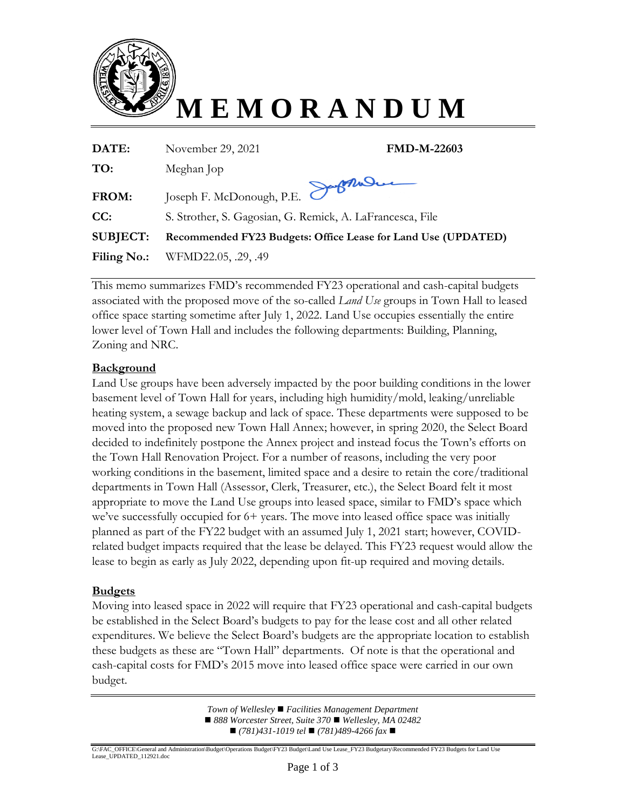

| DATE:           | <b>FMD-M-22603</b><br>November 29, 2021                       |
|-----------------|---------------------------------------------------------------|
| TO:             | Meghan Jop                                                    |
| FROM:           | Joseph F. McDonough, P.E. Software                            |
| CC:             | S. Strother, S. Gagosian, G. Remick, A. LaFrancesca, File     |
| <b>SUBJECT:</b> | Recommended FY23 Budgets: Office Lease for Land Use (UPDATED) |
| Filing No.:     | WFMD22.05, .29, .49                                           |

This memo summarizes FMD's recommended FY23 operational and cash-capital budgets associated with the proposed move of the so-called *Land Use* groups in Town Hall to leased office space starting sometime after July 1, 2022. Land Use occupies essentially the entire lower level of Town Hall and includes the following departments: Building, Planning, Zoning and NRC.

#### **Background**

Land Use groups have been adversely impacted by the poor building conditions in the lower basement level of Town Hall for years, including high humidity/mold, leaking/unreliable heating system, a sewage backup and lack of space. These departments were supposed to be moved into the proposed new Town Hall Annex; however, in spring 2020, the Select Board decided to indefinitely postpone the Annex project and instead focus the Town's efforts on the Town Hall Renovation Project. For a number of reasons, including the very poor working conditions in the basement, limited space and a desire to retain the core/traditional departments in Town Hall (Assessor, Clerk, Treasurer, etc.), the Select Board felt it most appropriate to move the Land Use groups into leased space, similar to FMD's space which we've successfully occupied for 6+ years. The move into leased office space was initially planned as part of the FY22 budget with an assumed July 1, 2021 start; however, COVIDrelated budget impacts required that the lease be delayed. This FY23 request would allow the lease to begin as early as July 2022, depending upon fit-up required and moving details.

#### **Budgets**

Moving into leased space in 2022 will require that FY23 operational and cash-capital budgets be established in the Select Board's budgets to pay for the lease cost and all other related expenditures. We believe the Select Board's budgets are the appropriate location to establish these budgets as these are "Town Hall" departments. Of note is that the operational and cash-capital costs for FMD's 2015 move into leased office space were carried in our own budget.

> *Town of Wellesley Facilities Management Department*  ■ 888 Worcester Street, Suite 370 ■ Wellesley, MA 02482 ■ (781)431-1019 *tel* ■ (781)489-4266 fax ■

G:\FAC\_OFFICE\General and Administration\Budget\Operations Budget\FY23 Budget\Land Use Lease\_FY23 Budgetary\Recommended FY23 Budgets for Land Use Lease\_UPDATED\_112921.doc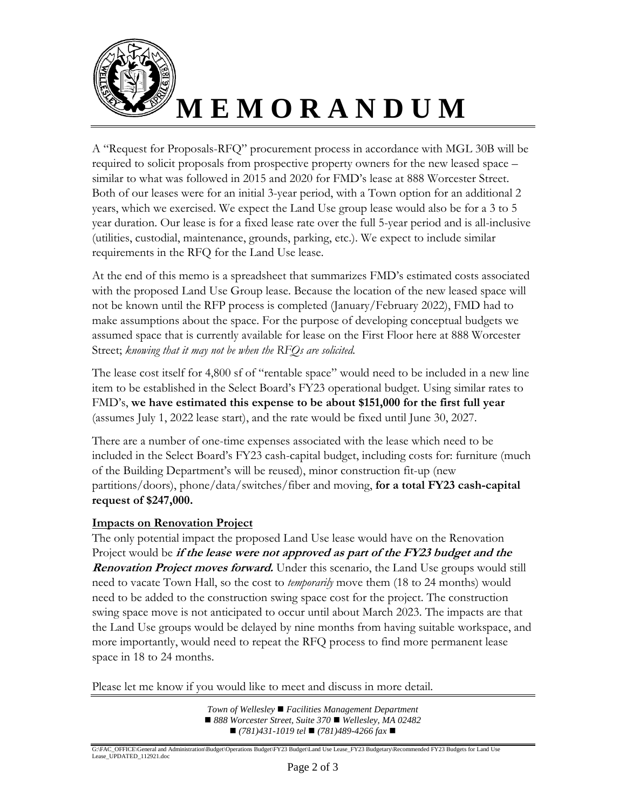

A "Request for Proposals-RFQ" procurement process in accordance with MGL 30B will be required to solicit proposals from prospective property owners for the new leased space – similar to what was followed in 2015 and 2020 for FMD's lease at 888 Worcester Street. Both of our leases were for an initial 3-year period, with a Town option for an additional 2 years, which we exercised. We expect the Land Use group lease would also be for a 3 to 5 year duration. Our lease is for a fixed lease rate over the full 5-year period and is all-inclusive (utilities, custodial, maintenance, grounds, parking, etc.). We expect to include similar requirements in the RFQ for the Land Use lease.

At the end of this memo is a spreadsheet that summarizes FMD's estimated costs associated with the proposed Land Use Group lease. Because the location of the new leased space will not be known until the RFP process is completed (January/February 2022), FMD had to make assumptions about the space. For the purpose of developing conceptual budgets we assumed space that is currently available for lease on the First Floor here at 888 Worcester Street; *knowing that it may not be when the RFQs are solicited.* 

The lease cost itself for 4,800 sf of "rentable space" would need to be included in a new line item to be established in the Select Board's FY23 operational budget. Using similar rates to FMD's, **we have estimated this expense to be about \$151,000 for the first full year** (assumes July 1, 2022 lease start), and the rate would be fixed until June 30, 2027.

There are a number of one-time expenses associated with the lease which need to be included in the Select Board's FY23 cash-capital budget, including costs for: furniture (much of the Building Department's will be reused), minor construction fit-up (new partitions/doors), phone/data/switches/fiber and moving, **for a total FY23 cash-capital request of \$247,000.**

#### **Impacts on Renovation Project**

The only potential impact the proposed Land Use lease would have on the Renovation Project would be **if the lease were not approved as part of the FY23 budget and the Renovation Project moves forward.** Under this scenario, the Land Use groups would still need to vacate Town Hall, so the cost to *temporarily* move them (18 to 24 months) would need to be added to the construction swing space cost for the project. The construction swing space move is not anticipated to occur until about March 2023. The impacts are that the Land Use groups would be delayed by nine months from having suitable workspace, and more importantly, would need to repeat the RFQ process to find more permanent lease space in 18 to 24 months.

Please let me know if you would like to meet and discuss in more detail.

*Town of Wellesley Facilities Management Department*  ■ 888 Worcester Street, Suite 370 ■ Wellesley, MA 02482 ■ (781)431-1019 *tel* ■ (781)489-4266 fax ■

G:\FAC\_OFFICE\General and Administration\Budget\Operations Budget\FY23 Budget\Land Use Lease\_FY23 Budgetary\Recommended FY23 Budgets for Land Use Lease\_UPDATED\_112921.doc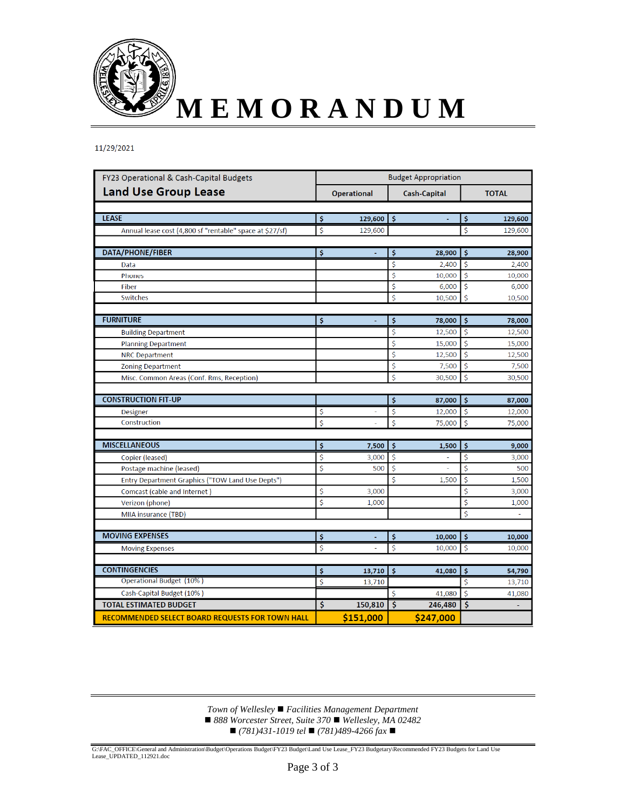

11/29/2021

| FY23 Operational & Cash-Capital Budgets                  | <b>Budget Appropriation</b> |                    |                     |                     |                    |         |  |
|----------------------------------------------------------|-----------------------------|--------------------|---------------------|---------------------|--------------------|---------|--|
| <b>Land Use Group Lease</b>                              |                             | <b>Operational</b> |                     | <b>Cash-Capital</b> | <b>TOTAL</b>       |         |  |
|                                                          |                             |                    |                     |                     |                    |         |  |
| <b>LEASE</b>                                             | \$                          | 129,600            | \$                  | ä,                  | \$                 | 129,600 |  |
| Annual lease cost (4,800 sf "rentable" space at \$27/sf) | \$                          | 129,600            |                     |                     | \$                 | 129,600 |  |
| DATA/PHONE/FIBER                                         | \$                          |                    | \$                  | 28,900              | \$                 | 28,900  |  |
| Data                                                     |                             |                    | \$                  | 2,400               | \$                 | 2,400   |  |
| <b>Phones</b>                                            |                             |                    | \$                  | 10,000              | \$                 | 10,000  |  |
| Fiber                                                    |                             |                    | \$                  | 6,000               | \$                 | 6,000   |  |
| <b>Switches</b>                                          |                             |                    | \$                  | 10,500              | \$                 | 10,500  |  |
| <b>FURNITURE</b>                                         | \$                          | Ξ                  | \$                  | 78,000              | \$                 | 78,000  |  |
| <b>Building Department</b>                               |                             |                    | \$                  | 12,500              | \$                 | 12,500  |  |
| <b>Planning Department</b>                               |                             |                    | $\dot{\mathsf{S}}$  | 15,000              | \$                 | 15,000  |  |
| <b>NRC Department</b>                                    |                             |                    | \$                  | 12,500              | \$                 | 12,500  |  |
| <b>Zoning Department</b>                                 |                             |                    | \$                  | 7,500               | Ś                  | 7,500   |  |
| Misc. Common Areas (Conf. Rms, Reception)                |                             |                    | \$                  | 30,500              | \$                 | 30,500  |  |
|                                                          |                             |                    |                     |                     |                    |         |  |
| <b>CONSTRUCTION FIT-UP</b>                               |                             |                    | \$                  | 87,000              | \$                 | 87,000  |  |
| <b>Designer</b>                                          | \$                          |                    | \$                  | 12,000              | \$                 | 12,000  |  |
| Construction                                             | \$                          |                    | \$                  | 75,000              | \$                 | 75,000  |  |
|                                                          |                             |                    |                     |                     |                    |         |  |
| <b>MISCELLANEOUS</b>                                     | \$                          | 7,500              | \$                  | 1,500               | \$                 | 9,000   |  |
| Copier (leased)                                          | \$                          | 3,000              | Ś                   |                     | \$                 | 3,000   |  |
| Postage machine (leased)                                 | \$                          | 500                | \$                  | ä,                  | \$                 | 500     |  |
| Entry Department Graphics ("TOW Land Use Depts")         |                             |                    | \$                  | 1,500               | \$                 | 1,500   |  |
| Comcast (cable and Internet)                             | \$                          | 3,000              |                     |                     | \$                 | 3,000   |  |
| Verizon (phone)                                          | \$                          | 1,000              |                     |                     | \$                 | 1,000   |  |
| MIIA insurance (TBD)                                     |                             |                    |                     |                     | Ś                  |         |  |
| <b>MOVING EXPENSES</b>                                   | $\dot{\mathsf{s}}$          |                    | $\ddot{\mathsf{s}}$ | 10,000              | $\mathsf{\hat{S}}$ | 10,000  |  |
| <b>Moving Expenses</b>                                   | \$                          | L.                 | \$                  | 10,000              | \$                 | 10,000  |  |
|                                                          |                             |                    |                     |                     |                    |         |  |
| <b>CONTINGENCIES</b>                                     | \$                          | 13,710             | \$                  | 41,080              | \$                 | 54,790  |  |
| Operational Budget (10%)                                 | \$                          | 13,710             |                     |                     | \$                 | 13,710  |  |
| Cash-Capital Budget (10%)                                |                             |                    | Ś                   | 41,080              | Ś                  | 41,080  |  |
| <b>TOTAL ESTIMATED BUDGET</b>                            | $\ddot{\bm{\zeta}}$         | 150,810            | Š.                  | 246,480             | \$                 |         |  |
| <b>RECOMMENDED SELECT BOARD REQUESTS FOR TOWN HALL</b>   |                             | \$151,000          |                     | \$247,000           |                    |         |  |

*Town of Wellesley Facilities Management Department*  ■ 888 Worcester Street, Suite 370 ■ Wellesley, MA 02482 *(781)431-1019 tel (781)489-4266 fax* 

G:\FAC\_OFFICE\General and Administration\Budget\Operations Budget\FY23 Budget\Land Use Lease\_FY23 Budgetary\Recommended FY23 Budgets for Land Use Lease\_UPDATED\_112921.doc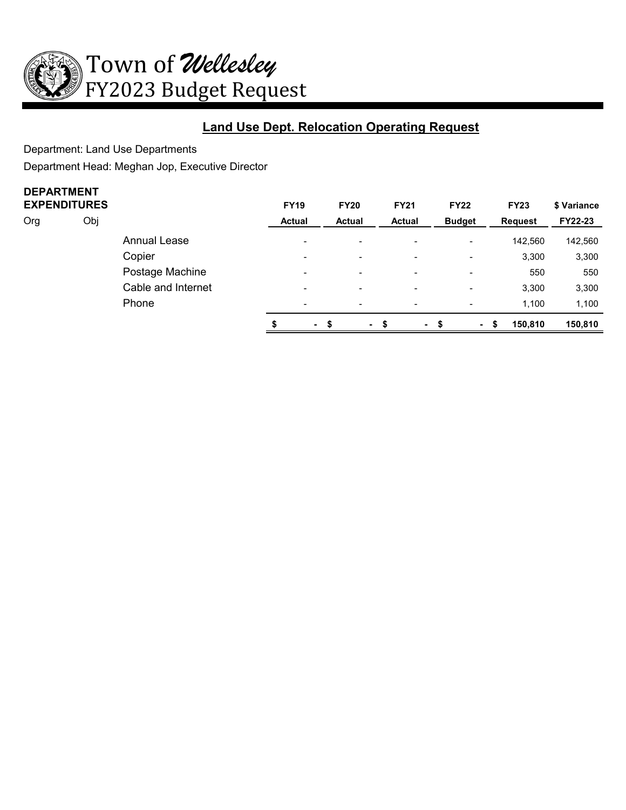

# **Land Use Dept. Relocation Operating Request**

Department: Land Use Departments

Department Head: Meghan Jop, Executive Director

# **DEPARTMENT**

|     | <b>EXPENDITURES</b> |                     | <b>FY19</b>   |                          | <b>FY20</b>              | <b>FY21</b>              | <b>FY22</b>              | <b>FY23</b>    | \$ Variance |
|-----|---------------------|---------------------|---------------|--------------------------|--------------------------|--------------------------|--------------------------|----------------|-------------|
| Org | Obj                 |                     | <b>Actual</b> |                          | <b>Actual</b>            | <b>Actual</b>            | <b>Budget</b>            | <b>Request</b> | FY22-23     |
|     |                     | <b>Annual Lease</b> |               | $\blacksquare$           | $\blacksquare$           | $\overline{\phantom{0}}$ | $\overline{\phantom{0}}$ | 142,560        | 142,560     |
|     |                     | Copier              |               | $\blacksquare$           | $\overline{\phantom{0}}$ | $\blacksquare$           | $\blacksquare$           | 3,300          | 3,300       |
|     |                     | Postage Machine     |               | $\blacksquare$           | $\overline{\phantom{0}}$ | $\overline{\phantom{a}}$ | $\overline{\phantom{0}}$ | 550            | 550         |
|     |                     | Cable and Internet  |               | $\overline{\phantom{0}}$ | $\overline{\phantom{0}}$ | $\overline{\phantom{a}}$ | ۰.                       | 3,300          | 3,300       |
|     |                     | Phone               |               | $\blacksquare$           | $\overline{\phantom{0}}$ | $\blacksquare$           | $\blacksquare$           | 1.100          | 1,100       |
|     |                     |                     |               | $\sim$                   | $\blacksquare$           | ٠                        | $\sim$                   | 150,810<br>S   | 150,810     |
|     |                     |                     |               |                          |                          |                          |                          |                |             |